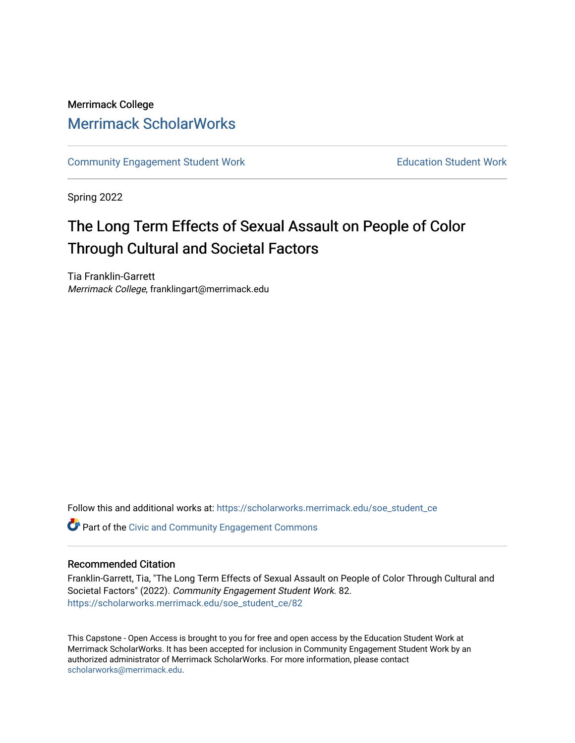## Merrimack College [Merrimack ScholarWorks](https://scholarworks.merrimack.edu/)

[Community Engagement Student Work](https://scholarworks.merrimack.edu/soe_student_ce) **Education Student Work** Education Student Work

Spring 2022

# The Long Term Effects of Sexual Assault on People of Color Through Cultural and Societal Factors

Tia Franklin-Garrett Merrimack College, franklingart@merrimack.edu

Follow this and additional works at: [https://scholarworks.merrimack.edu/soe\\_student\\_ce](https://scholarworks.merrimack.edu/soe_student_ce?utm_source=scholarworks.merrimack.edu%2Fsoe_student_ce%2F82&utm_medium=PDF&utm_campaign=PDFCoverPages) 

Part of the [Civic and Community Engagement Commons](http://network.bepress.com/hgg/discipline/1028?utm_source=scholarworks.merrimack.edu%2Fsoe_student_ce%2F82&utm_medium=PDF&utm_campaign=PDFCoverPages)

#### Recommended Citation

Franklin-Garrett, Tia, "The Long Term Effects of Sexual Assault on People of Color Through Cultural and Societal Factors" (2022). Community Engagement Student Work. 82. [https://scholarworks.merrimack.edu/soe\\_student\\_ce/82](https://scholarworks.merrimack.edu/soe_student_ce/82?utm_source=scholarworks.merrimack.edu%2Fsoe_student_ce%2F82&utm_medium=PDF&utm_campaign=PDFCoverPages)

This Capstone - Open Access is brought to you for free and open access by the Education Student Work at Merrimack ScholarWorks. It has been accepted for inclusion in Community Engagement Student Work by an authorized administrator of Merrimack ScholarWorks. For more information, please contact [scholarworks@merrimack.edu](mailto:scholarworks@merrimack.edu).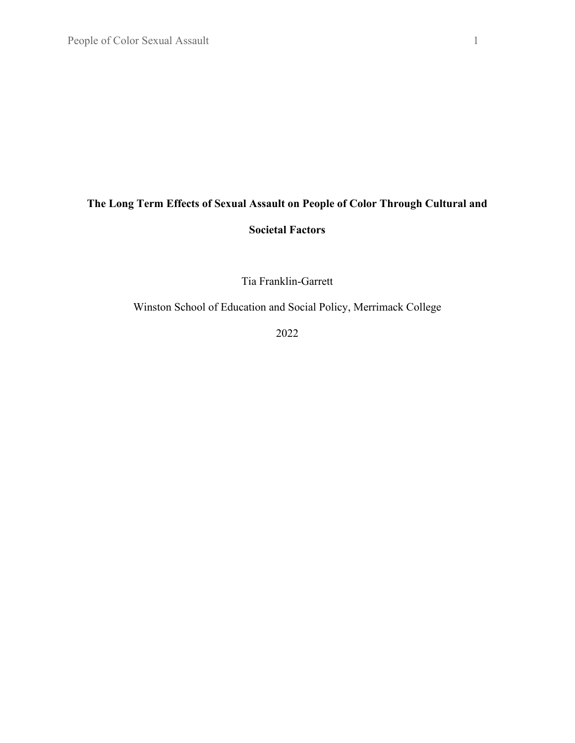# **The Long Term Effects of Sexual Assault on People of Color Through Cultural and Societal Factors**

Tia Franklin-Garrett

Winston School of Education and Social Policy, Merrimack College

2022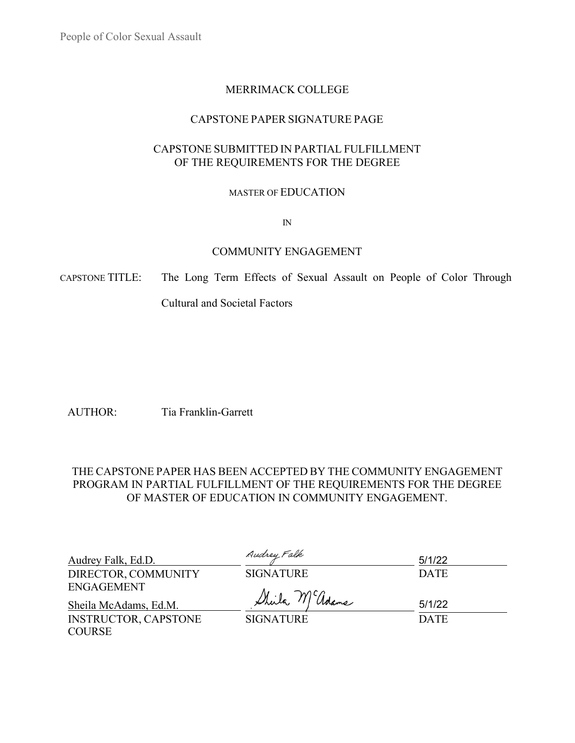## MERRIMACK COLLEGE

## CAPSTONE PAPER SIGNATURE PAGE

## CAPSTONE SUBMITTED IN PARTIAL FULFILLMENT OF THE REQUIREMENTS FOR THE DEGREE

### MASTER OF EDUCATION

IN

## COMMUNITY ENGAGEMENT

CAPSTONE TITLE: The Long Term Effects of Sexual Assault on People of Color Through

Cultural and Societal Factors

AUTHOR: Tia Franklin-Garrett

## THE CAPSTONE PAPER HAS BEEN ACCEPTED BY THE COMMUNITY ENGAGEMENT PROGRAM IN PARTIAL FULFILLMENT OF THE REQUIREMENTS FOR THE DEGREE OF MASTER OF EDUCATION IN COMMUNITY ENGAGEMENT.

| Audrey Falk, Ed.D.          | Audrey Falk      | 5/1/22      |
|-----------------------------|------------------|-------------|
| DIRECTOR, COMMUNITY         | <b>SIGNATURE</b> | <b>DATE</b> |
| <b>ENGAGEMENT</b>           | Sheila McGolame  | 5/1/22      |
| Sheila McAdams, Ed.M.       |                  |             |
| <b>INSTRUCTOR, CAPSTONE</b> | <b>SIGNATURE</b> | <b>DATE</b> |
| <b>COURSE</b>               |                  |             |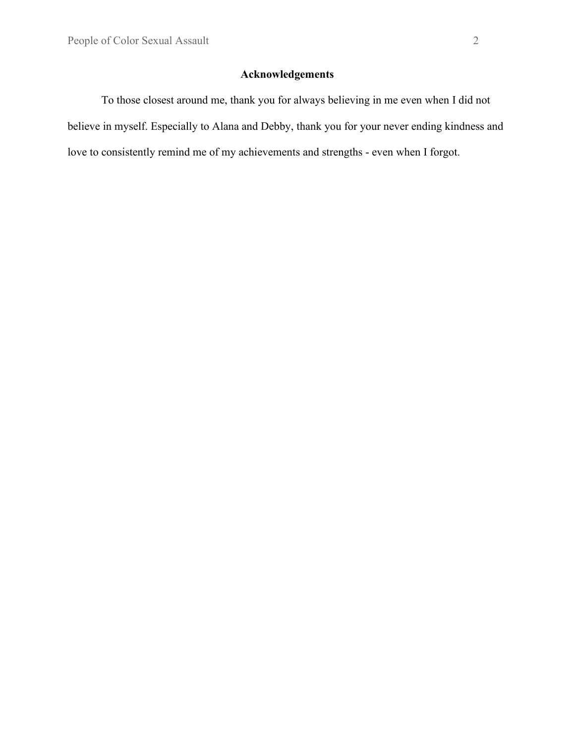## **Acknowledgements**

To those closest around me, thank you for always believing in me even when I did not believe in myself. Especially to Alana and Debby, thank you for your never ending kindness and love to consistently remind me of my achievements and strengths - even when I forgot.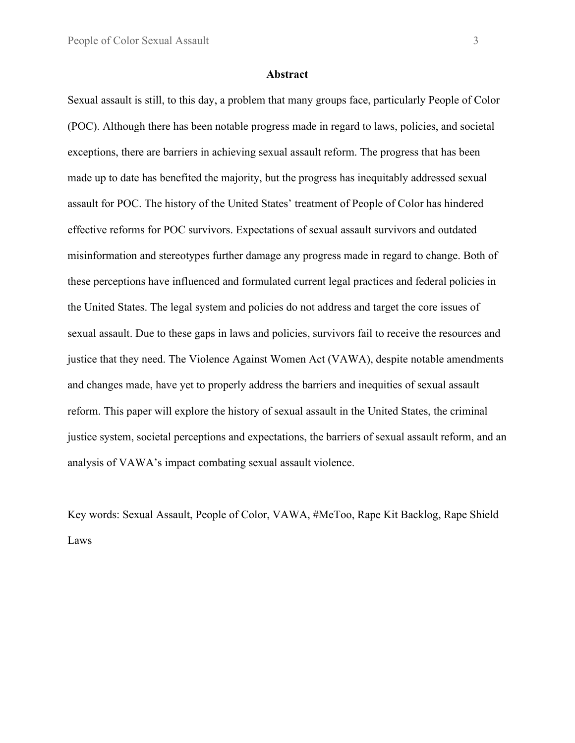#### **Abstract**

Sexual assault is still, to this day, a problem that many groups face, particularly People of Color (POC). Although there has been notable progress made in regard to laws, policies, and societal exceptions, there are barriers in achieving sexual assault reform. The progress that has been made up to date has benefited the majority, but the progress has inequitably addressed sexual assault for POC. The history of the United States' treatment of People of Color has hindered effective reforms for POC survivors. Expectations of sexual assault survivors and outdated misinformation and stereotypes further damage any progress made in regard to change. Both of these perceptions have influenced and formulated current legal practices and federal policies in the United States. The legal system and policies do not address and target the core issues of sexual assault. Due to these gaps in laws and policies, survivors fail to receive the resources and justice that they need. The Violence Against Women Act (VAWA), despite notable amendments and changes made, have yet to properly address the barriers and inequities of sexual assault reform. This paper will explore the history of sexual assault in the United States, the criminal justice system, societal perceptions and expectations, the barriers of sexual assault reform, and an analysis of VAWA's impact combating sexual assault violence.

Key words: Sexual Assault, People of Color, VAWA, #MeToo, Rape Kit Backlog, Rape Shield Laws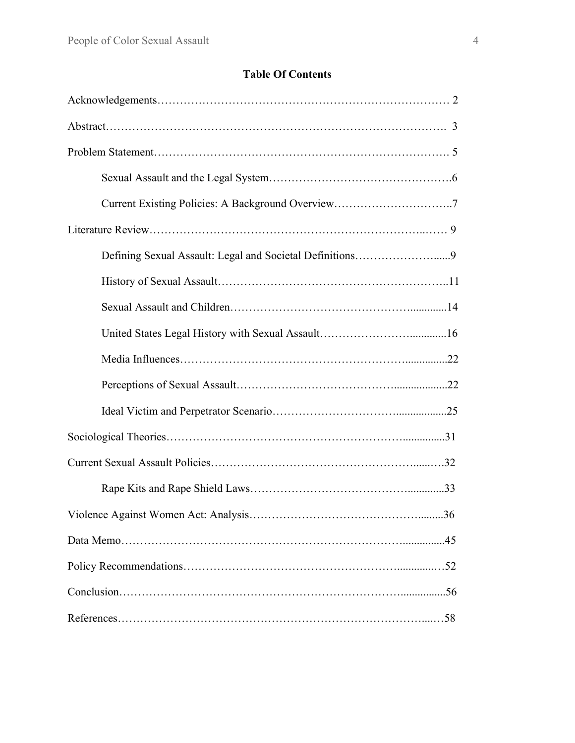## **Table Of Contents**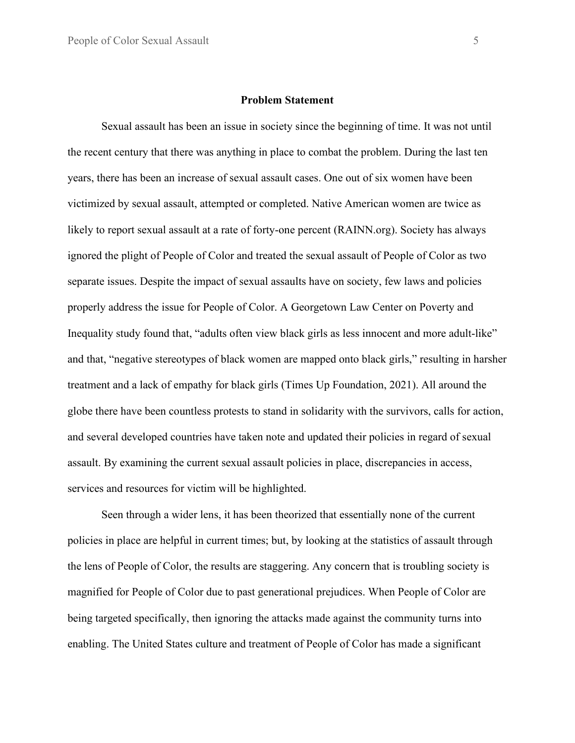#### **Problem Statement**

Sexual assault has been an issue in society since the beginning of time. It was not until the recent century that there was anything in place to combat the problem. During the last ten years, there has been an increase of sexual assault cases. One out of six women have been victimized by sexual assault, attempted or completed. Native American women are twice as likely to report sexual assault at a rate of forty-one percent (RAINN.org). Society has always ignored the plight of People of Color and treated the sexual assault of People of Color as two separate issues. Despite the impact of sexual assaults have on society, few laws and policies properly address the issue for People of Color. A Georgetown Law Center on Poverty and Inequality study found that, "adults often view black girls as less innocent and more adult-like" and that, "negative stereotypes of black women are mapped onto black girls," resulting in harsher treatment and a lack of empathy for black girls (Times Up Foundation, 2021). All around the globe there have been countless protests to stand in solidarity with the survivors, calls for action, and several developed countries have taken note and updated their policies in regard of sexual assault. By examining the current sexual assault policies in place, discrepancies in access, services and resources for victim will be highlighted.

Seen through a wider lens, it has been theorized that essentially none of the current policies in place are helpful in current times; but, by looking at the statistics of assault through the lens of People of Color, the results are staggering. Any concern that is troubling society is magnified for People of Color due to past generational prejudices. When People of Color are being targeted specifically, then ignoring the attacks made against the community turns into enabling. The United States culture and treatment of People of Color has made a significant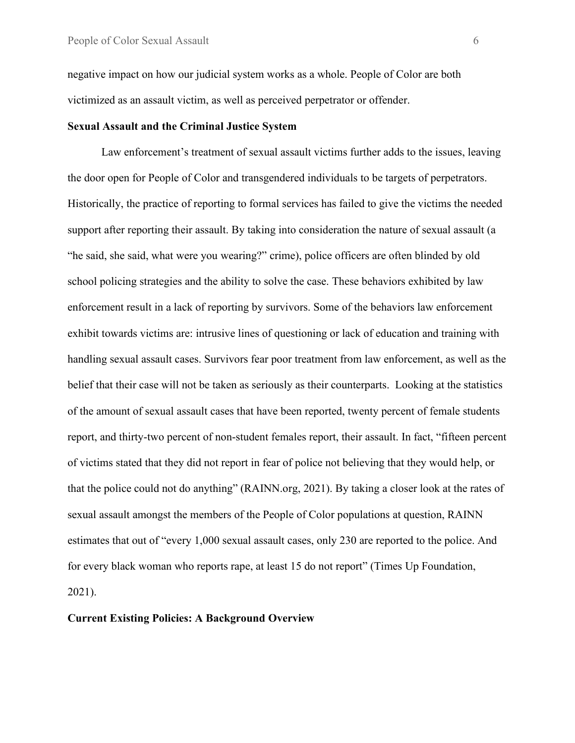negative impact on how our judicial system works as a whole. People of Color are both victimized as an assault victim, as well as perceived perpetrator or offender.

#### **Sexual Assault and the Criminal Justice System**

Law enforcement's treatment of sexual assault victims further adds to the issues, leaving the door open for People of Color and transgendered individuals to be targets of perpetrators. Historically, the practice of reporting to formal services has failed to give the victims the needed support after reporting their assault. By taking into consideration the nature of sexual assault (a "he said, she said, what were you wearing?" crime), police officers are often blinded by old school policing strategies and the ability to solve the case. These behaviors exhibited by law enforcement result in a lack of reporting by survivors. Some of the behaviors law enforcement exhibit towards victims are: intrusive lines of questioning or lack of education and training with handling sexual assault cases. Survivors fear poor treatment from law enforcement, as well as the belief that their case will not be taken as seriously as their counterparts. Looking at the statistics of the amount of sexual assault cases that have been reported, twenty percent of female students report, and thirty-two percent of non-student females report, their assault. In fact, "fifteen percent of victims stated that they did not report in fear of police not believing that they would help, or that the police could not do anything" (RAINN.org, 2021). By taking a closer look at the rates of sexual assault amongst the members of the People of Color populations at question, RAINN [estimates](https://www.rainn.org/statistics/criminal-justice-system) that out of "every 1,000 sexual assault cases, only 230 are reported to the police. And for every black woman who reports rape, at least [15 do not report"](https://ujimacommunity.org/wp-content/uploads/2018/12/Ujima-Womens-Violence-Stats-v7.4-1.pdf) (Times Up Foundation, 2021).

#### **Current Existing Policies: A Background Overview**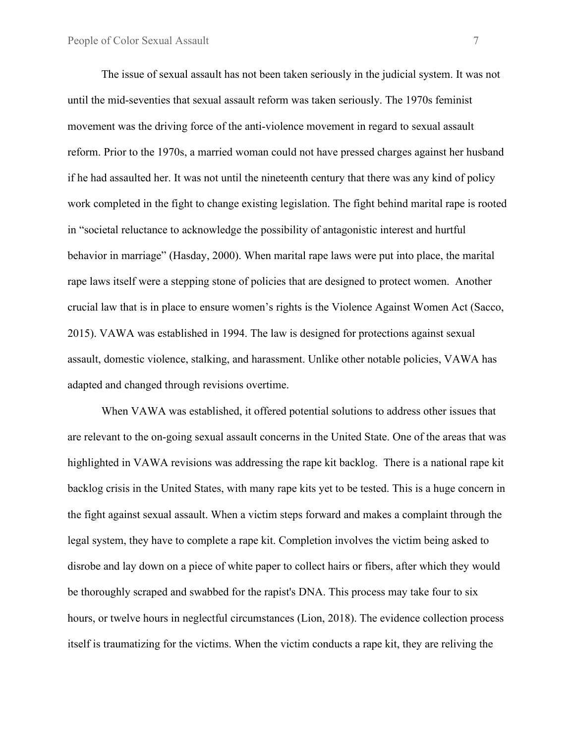The issue of sexual assault has not been taken seriously in the judicial system. It was not until the mid-seventies that sexual assault reform was taken seriously. The 1970s feminist movement was the driving force of the anti-violence movement in regard to sexual assault reform. Prior to the 1970s, a married woman could not have pressed charges against her husband if he had assaulted her. It was not until the nineteenth century that there was any kind of policy work completed in the fight to change existing legislation. The fight behind marital rape is rooted in "societal reluctance to acknowledge the possibility of antagonistic interest and hurtful behavior in marriage" (Hasday, 2000). When marital rape laws were put into place, the marital rape laws itself were a stepping stone of policies that are designed to protect women. Another crucial law that is in place to ensure women's rights is the Violence Against Women Act (Sacco, 2015). VAWA was established in 1994. The law is designed for protections against sexual assault, domestic violence, stalking, and harassment. Unlike other notable policies, VAWA has adapted and changed through revisions overtime.

When VAWA was established, it offered potential solutions to address other issues that are relevant to the on-going sexual assault concerns in the United State. One of the areas that was highlighted in VAWA revisions was addressing the rape kit backlog. There is a national rape kit backlog crisis in the United States, with many rape kits yet to be tested. This is a huge concern in the fight against sexual assault. When a victim steps forward and makes a complaint through the legal system, they have to complete a rape kit. Completion involves the victim being asked to disrobe and lay down on a piece of white paper to collect hairs or fibers, after which they would be thoroughly scraped and swabbed for the rapist's DNA. This process may take four to six hours, or twelve hours in neglectful circumstances (Lion, 2018). The evidence collection process itself is traumatizing for the victims. When the victim conducts a rape kit, they are reliving the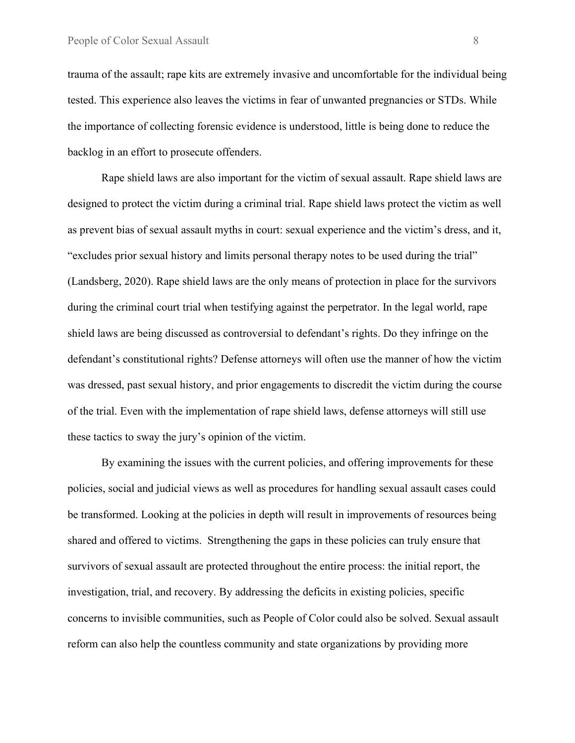trauma of the assault; rape kits are extremely invasive and uncomfortable for the individual being tested. This experience also leaves the victims in fear of unwanted pregnancies or STDs. While the importance of collecting forensic evidence is understood, little is being done to reduce the backlog in an effort to prosecute offenders.

Rape shield laws are also important for the victim of sexual assault. Rape shield laws are designed to protect the victim during a criminal trial. Rape shield laws protect the victim as well as prevent bias of sexual assault myths in court: sexual experience and the victim's dress, and it, "excludes prior sexual history and limits personal therapy notes to be used during the trial" (Landsberg, 2020). Rape shield laws are the only means of protection in place for the survivors during the criminal court trial when testifying against the perpetrator. In the legal world, rape shield laws are being discussed as controversial to defendant's rights. Do they infringe on the defendant's constitutional rights? Defense attorneys will often use the manner of how the victim was dressed, past sexual history, and prior engagements to discredit the victim during the course of the trial. Even with the implementation of rape shield laws, defense attorneys will still use these tactics to sway the jury's opinion of the victim.

By examining the issues with the current policies, and offering improvements for these policies, social and judicial views as well as procedures for handling sexual assault cases could be transformed. Looking at the policies in depth will result in improvements of resources being shared and offered to victims. Strengthening the gaps in these policies can truly ensure that survivors of sexual assault are protected throughout the entire process: the initial report, the investigation, trial, and recovery. By addressing the deficits in existing policies, specific concerns to invisible communities, such as People of Color could also be solved. Sexual assault reform can also help the countless community and state organizations by providing more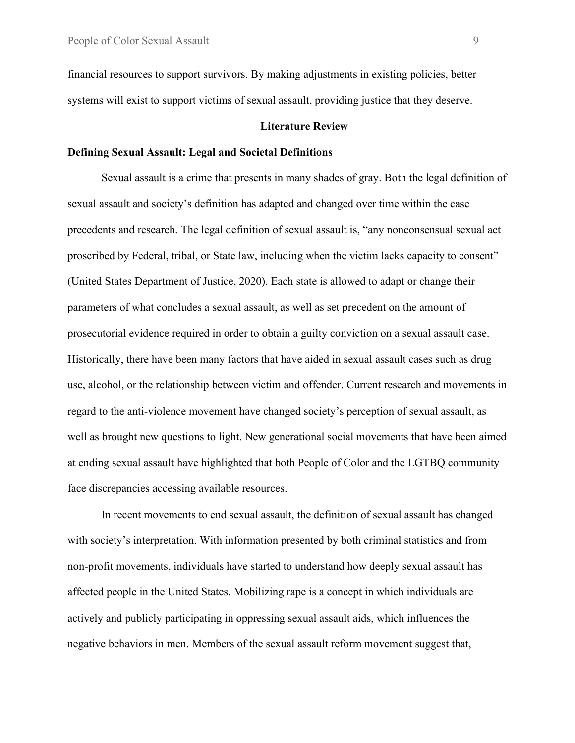financial resources to support survivors. By making adjustments in existing policies, better systems will exist to support victims of sexual assault, providing justice that they deserve.

#### **Literature Review**

#### **Defining Sexual Assault: Legal and Societal Definitions**

Sexual assault is a crime that presents in many shades of gray. Both the legal definition of sexual assault and society's definition has adapted and changed over time within the case precedents and research. The legal definition of sexual assault is, "any nonconsensual sexual act proscribed by Federal, tribal, or State law, including when the victim lacks capacity to consent" (United States Department of Justice, 2020). Each state is allowed to adapt or change their parameters of what concludes a sexual assault, as well as set precedent on the amount of prosecutorial evidence required in order to obtain a guilty conviction on a sexual assault case. Historically, there have been many factors that have aided in sexual assault cases such as drug use, alcohol, or the relationship between victim and offender. Current research and movements in regard to the anti-violence movement have changed society's perception of sexual assault, as well as brought new questions to light. New generational social movements that have been aimed at ending sexual assault have highlighted that both People of Color and the LGTBQ community face discrepancies accessing available resources.

In recent movements to end sexual assault, the definition of sexual assault has changed with society's interpretation. With information presented by both criminal statistics and from non-profit movements, individuals have started to understand how deeply sexual assault has affected people in the United States. Mobilizing rape is a concept in which individuals are actively and publicly participating in oppressing sexual assault aids, which influences the negative behaviors in men. Members of the sexual assault reform movement suggest that,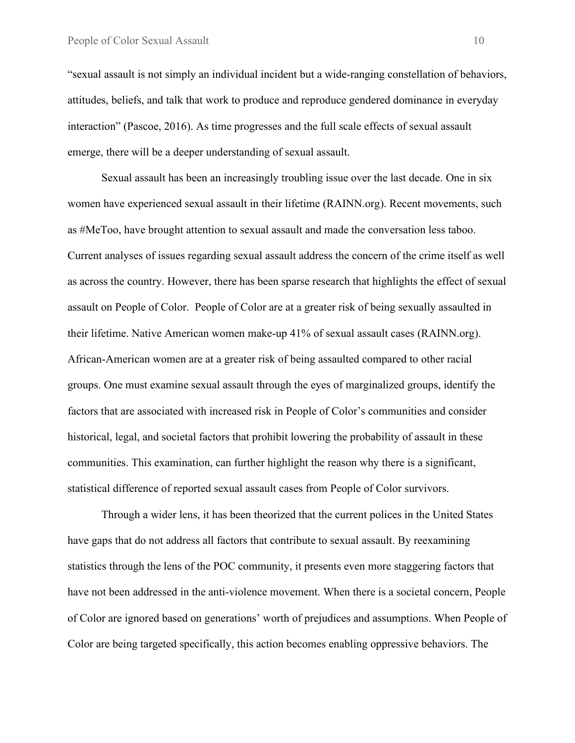"sexual assault is not simply an individual incident but a wide-ranging constellation of behaviors, attitudes, beliefs, and talk that work to produce and reproduce gendered dominance in everyday interaction" (Pascoe, 2016). As time progresses and the full scale effects of sexual assault emerge, there will be a deeper understanding of sexual assault.

Sexual assault has been an increasingly troubling issue over the last decade. One in six women have experienced sexual assault in their lifetime (RAINN.org). Recent movements, such as #MeToo, have brought attention to sexual assault and made the conversation less taboo. Current analyses of issues regarding sexual assault address the concern of the crime itself as well as across the country. However, there has been sparse research that highlights the effect of sexual assault on People of Color. People of Color are at a greater risk of being sexually assaulted in their lifetime. Native American women make-up 41% of sexual assault cases (RAINN.org). African-American women are at a greater risk of being assaulted compared to other racial groups. One must examine sexual assault through the eyes of marginalized groups, identify the factors that are associated with increased risk in People of Color's communities and consider historical, legal, and societal factors that prohibit lowering the probability of assault in these communities. This examination, can further highlight the reason why there is a significant, statistical difference of reported sexual assault cases from People of Color survivors.

Through a wider lens, it has been theorized that the current polices in the United States have gaps that do not address all factors that contribute to sexual assault. By reexamining statistics through the lens of the POC community, it presents even more staggering factors that have not been addressed in the anti-violence movement. When there is a societal concern, People of Color are ignored based on generations' worth of prejudices and assumptions. When People of Color are being targeted specifically, this action becomes enabling oppressive behaviors. The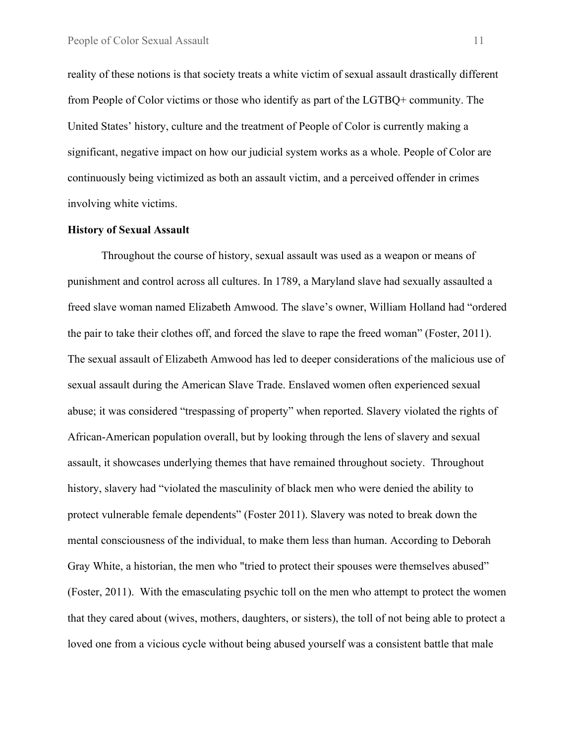reality of these notions is that society treats a white victim of sexual assault drastically different from People of Color victims or those who identify as part of the LGTBQ+ community. The United States' history, culture and the treatment of People of Color is currently making a significant, negative impact on how our judicial system works as a whole. People of Color are continuously being victimized as both an assault victim, and a perceived offender in crimes involving white victims.

#### **History of Sexual Assault**

Throughout the course of history, sexual assault was used as a weapon or means of punishment and control across all cultures. In 1789, a Maryland slave had sexually assaulted a freed slave woman named Elizabeth Amwood. The slave's owner, William Holland had "ordered the pair to take their clothes off, and forced the slave to rape the freed woman" (Foster, 2011). The sexual assault of Elizabeth Amwood has led to deeper considerations of the malicious use of sexual assault during the American Slave Trade. Enslaved women often experienced sexual abuse; it was considered "trespassing of property" when reported. Slavery violated the rights of African-American population overall, but by looking through the lens of slavery and sexual assault, it showcases underlying themes that have remained throughout society. Throughout history, slavery had "violated the masculinity of black men who were denied the ability to protect vulnerable female dependents" (Foster 2011). Slavery was noted to break down the mental consciousness of the individual, to make them less than human. According to Deborah Gray White, a historian, the men who "tried to protect their spouses were themselves abused" (Foster, 2011). With the emasculating psychic toll on the men who attempt to protect the women that they cared about (wives, mothers, daughters, or sisters), the toll of not being able to protect a loved one from a vicious cycle without being abused yourself was a consistent battle that male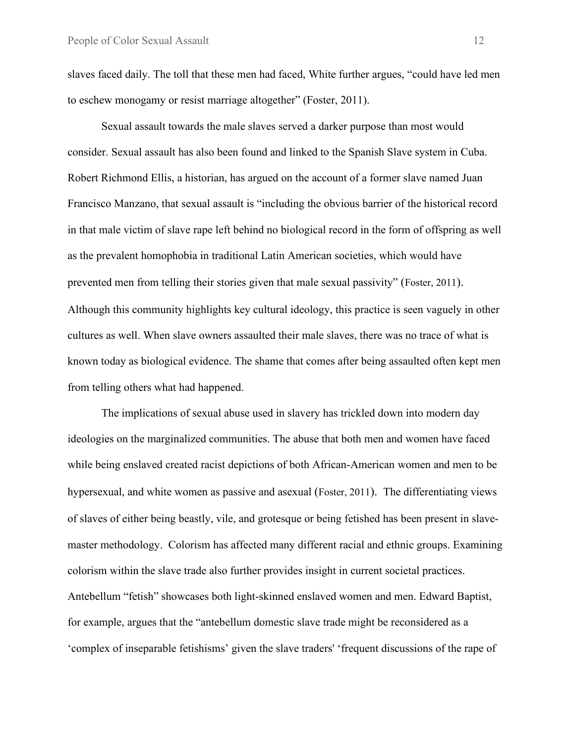slaves faced daily. The toll that these men had faced, White further argues, "could have led men to eschew monogamy or resist marriage altogether" (Foster, 2011).

Sexual assault towards the male slaves served a darker purpose than most would consider. Sexual assault has also been found and linked to the Spanish Slave system in Cuba. Robert Richmond Ellis, a historian, has argued on the account of a former slave named Juan Francisco Manzano, that sexual assault is "including the obvious barrier of the historical record in that male victim of slave rape left behind no biological record in the form of offspring as well as the prevalent homophobia in traditional Latin American societies, which would have prevented men from telling their stories given that male sexual passivity" (Foster, 2011). Although this community highlights key cultural ideology, this practice is seen vaguely in other cultures as well. When slave owners assaulted their male slaves, there was no trace of what is known today as biological evidence. The shame that comes after being assaulted often kept men from telling others what had happened.

The implications of sexual abuse used in slavery has trickled down into modern day ideologies on the marginalized communities. The abuse that both men and women have faced while being enslaved created racist depictions of both African-American women and men to be hypersexual, and white women as passive and asexual (Foster, 2011). The differentiating views of slaves of either being beastly, vile, and grotesque or being fetished has been present in slavemaster methodology. Colorism has affected many different racial and ethnic groups. Examining colorism within the slave trade also further provides insight in current societal practices. Antebellum "fetish" showcases both light-skinned enslaved women and men. Edward Baptist, for example, argues that the "antebellum domestic slave trade might be reconsidered as a 'complex of inseparable fetishisms' given the slave traders' 'frequent discussions of the rape of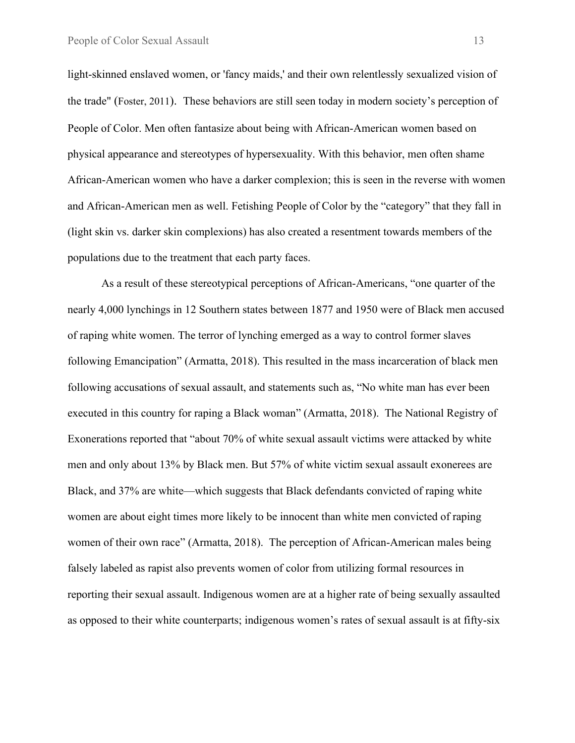light-skinned enslaved women, or 'fancy maids,' and their own relentlessly sexualized vision of the trade" (Foster, 2011). These behaviors are still seen today in modern society's perception of People of Color. Men often fantasize about being with African-American women based on physical appearance and stereotypes of hypersexuality. With this behavior, men often shame African-American women who have a darker complexion; this is seen in the reverse with women and African-American men as well. Fetishing People of Color by the "category" that they fall in (light skin vs. darker skin complexions) has also created a resentment towards members of the populations due to the treatment that each party faces.

As a result of these stereotypical perceptions of African-Americans, "one quarter of the nearly 4,000 lynchings in 12 Southern states between 1877 and 1950 were of Black men accused of raping white women. The terror of lynching emerged as a way to control former slaves following Emancipation" (Armatta, 2018). This resulted in the mass incarceration of black men following accusations of sexual assault, and statements such as, "No white man has ever been executed in this country for raping a Black woman" (Armatta, 2018). The National Registry of Exonerations reported that "about 70% of white sexual assault victims were attacked by white men and only about 13% by Black men. But 57% of white victim sexual assault exonerees are Black, and 37% are white—which suggests that Black defendants convicted of raping white women are about eight times more likely to be innocent than white men convicted of raping women of their own race" (Armatta, 2018). The perception of African-American males being falsely labeled as rapist also prevents women of color from utilizing formal resources in reporting their sexual assault. Indigenous women are at a higher rate of being sexually assaulted as opposed to their white counterparts; indigenous women's rates of sexual assault is at fifty-six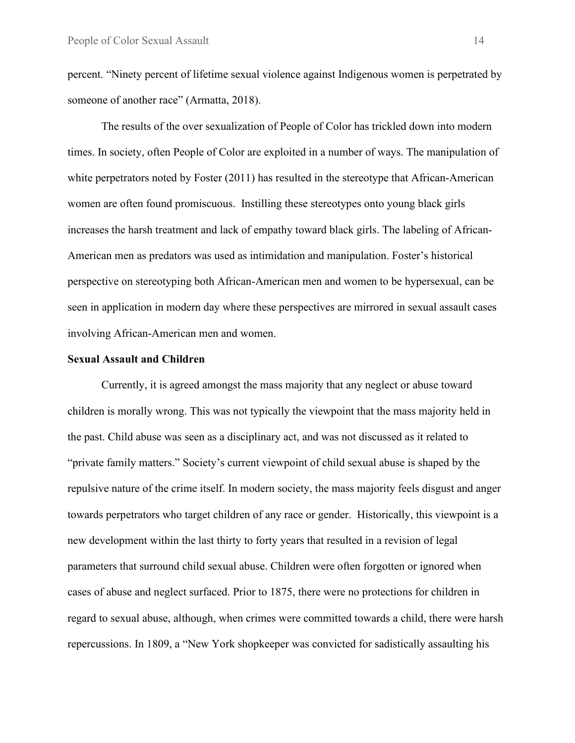percent. "Ninety percent of lifetime sexual violence against Indigenous women is perpetrated by someone of another race" (Armatta, 2018).

The results of the over sexualization of People of Color has trickled down into modern times. In society, often People of Color are exploited in a number of ways. The manipulation of white perpetrators noted by Foster (2011) has resulted in the stereotype that African-American women are often found promiscuous. Instilling these stereotypes onto young black girls increases the harsh treatment and lack of empathy toward black girls. The labeling of African-American men as predators was used as intimidation and manipulation. Foster's historical perspective on stereotyping both African-American men and women to be hypersexual, can be seen in application in modern day where these perspectives are mirrored in sexual assault cases involving African-American men and women.

#### **Sexual Assault and Children**

Currently, it is agreed amongst the mass majority that any neglect or abuse toward children is morally wrong. This was not typically the viewpoint that the mass majority held in the past. Child abuse was seen as a disciplinary act, and was not discussed as it related to "private family matters." Society's current viewpoint of child sexual abuse is shaped by the repulsive nature of the crime itself. In modern society, the mass majority feels disgust and anger towards perpetrators who target children of any race or gender. Historically, this viewpoint is a new development within the last thirty to forty years that resulted in a revision of legal parameters that surround child sexual abuse. Children were often forgotten or ignored when cases of abuse and neglect surfaced. Prior to 1875, there were no protections for children in regard to sexual abuse, although, when crimes were committed towards a child, there were harsh repercussions. In 1809, a "New York shopkeeper was convicted for sadistically assaulting his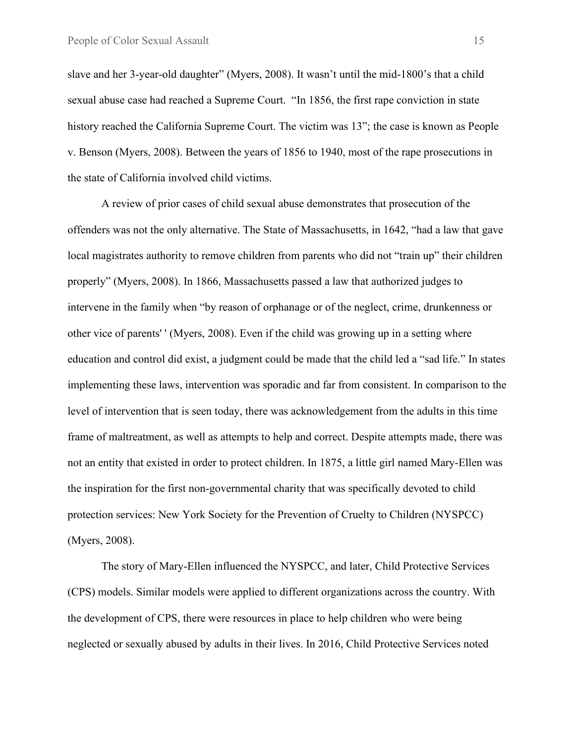slave and her 3-year-old daughter" (Myers, 2008). It wasn't until the mid-1800's that a child sexual abuse case had reached a Supreme Court. "In 1856, the first rape conviction in state history reached the California Supreme Court. The victim was 13"; the case is known as People v. Benson (Myers, 2008). Between the years of 1856 to 1940, most of the rape prosecutions in the state of California involved child victims.

A review of prior cases of child sexual abuse demonstrates that prosecution of the offenders was not the only alternative. The State of Massachusetts, in 1642, "had a law that gave local magistrates authority to remove children from parents who did not "train up" their children properly" (Myers, 2008). In 1866, Massachusetts passed a law that authorized judges to intervene in the family when "by reason of orphanage or of the neglect, crime, drunkenness or other vice of parents' ' (Myers, 2008). Even if the child was growing up in a setting where education and control did exist, a judgment could be made that the child led a "sad life." In states implementing these laws, intervention was sporadic and far from consistent. In comparison to the level of intervention that is seen today, there was acknowledgement from the adults in this time frame of maltreatment, as well as attempts to help and correct. Despite attempts made, there was not an entity that existed in order to protect children. In 1875, a little girl named Mary-Ellen was the inspiration for the first non-governmental charity that was specifically devoted to child protection services: New York Society for the Prevention of Cruelty to Children (NYSPCC) (Myers, 2008).

The story of Mary-Ellen influenced the NYSPCC, and later, Child Protective Services (CPS) models. Similar models were applied to different organizations across the country. With the development of CPS, there were resources in place to help children who were being neglected or sexually abused by adults in their lives. In 2016, Child Protective Services noted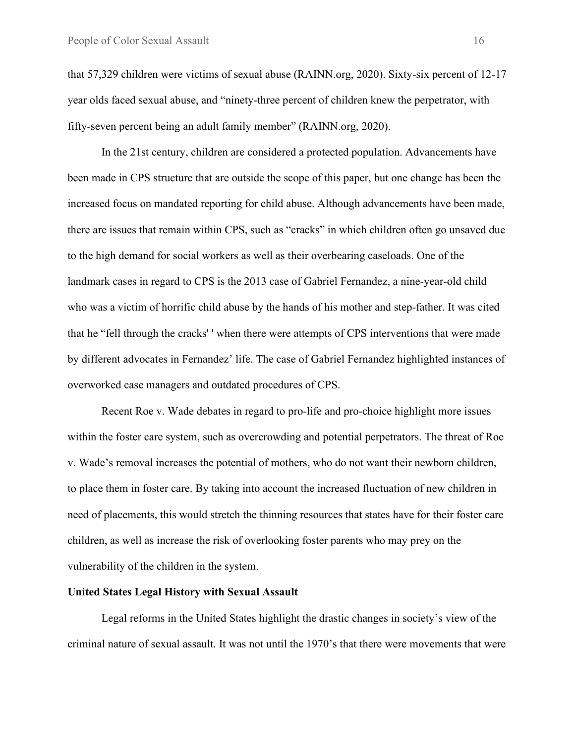that 57,329 children were victims of sexual abuse (RAINN.org, 2020). Sixty-six percent of 12-17 year olds faced sexual abuse, and "ninety-three percent of children knew the perpetrator, with fifty-seven percent being an adult family member" (RAINN.org, 2020).

In the 21st century, children are considered a protected population. Advancements have been made in CPS structure that are outside the scope of this paper, but one change has been the increased focus on mandated reporting for child abuse. Although advancements have been made, there are issues that remain within CPS, such as "cracks" in which children often go unsaved due to the high demand for social workers as well as their overbearing caseloads. One of the landmark cases in regard to CPS is the 2013 case of Gabriel Fernandez, a nine-year-old child who was a victim of horrific child abuse by the hands of his mother and step-father. It was cited that he "fell through the cracks' ' when there were attempts of CPS interventions that were made by different advocates in Fernandez' life. The case of Gabriel Fernandez highlighted instances of overworked case managers and outdated procedures of CPS.

Recent Roe v. Wade debates in regard to pro-life and pro-choice highlight more issues within the foster care system, such as overcrowding and potential perpetrators. The threat of Roe v. Wade's removal increases the potential of mothers, who do not want their newborn children, to place them in foster care. By taking into account the increased fluctuation of new children in need of placements, this would stretch the thinning resources that states have for their foster care children, as well as increase the risk of overlooking foster parents who may prey on the vulnerability of the children in the system.

#### **United States Legal History with Sexual Assault**

Legal reforms in the United States highlight the drastic changes in society's view of the criminal nature of sexual assault. It was not until the 1970's that there were movements that were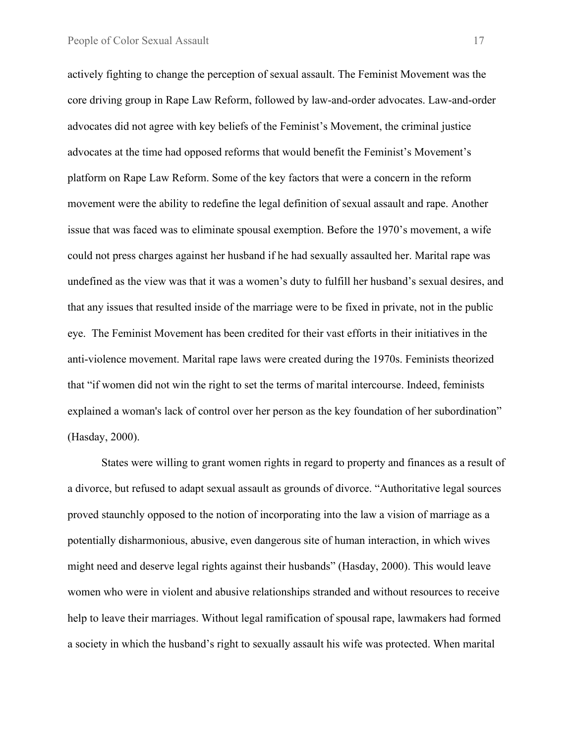actively fighting to change the perception of sexual assault. The Feminist Movement was the core driving group in Rape Law Reform, followed by law-and-order advocates. Law-and-order advocates did not agree with key beliefs of the Feminist's Movement, the criminal justice advocates at the time had opposed reforms that would benefit the Feminist's Movement's platform on Rape Law Reform. Some of the key factors that were a concern in the reform movement were the ability to redefine the legal definition of sexual assault and rape. Another issue that was faced was to eliminate spousal exemption. Before the 1970's movement, a wife could not press charges against her husband if he had sexually assaulted her. Marital rape was undefined as the view was that it was a women's duty to fulfill her husband's sexual desires, and that any issues that resulted inside of the marriage were to be fixed in private, not in the public eye. The Feminist Movement has been credited for their vast efforts in their initiatives in the anti-violence movement. Marital rape laws were created during the 1970s. Feminists theorized that "if women did not win the right to set the terms of marital intercourse. Indeed, feminists explained a woman's lack of control over her person as the key foundation of her subordination" (Hasday, 2000).

States were willing to grant women rights in regard to property and finances as a result of a divorce, but refused to adapt sexual assault as grounds of divorce. "Authoritative legal sources proved staunchly opposed to the notion of incorporating into the law a vision of marriage as a potentially disharmonious, abusive, even dangerous site of human interaction, in which wives might need and deserve legal rights against their husbands" (Hasday, 2000). This would leave women who were in violent and abusive relationships stranded and without resources to receive help to leave their marriages. Without legal ramification of spousal rape, lawmakers had formed a society in which the husband's right to sexually assault his wife was protected. When marital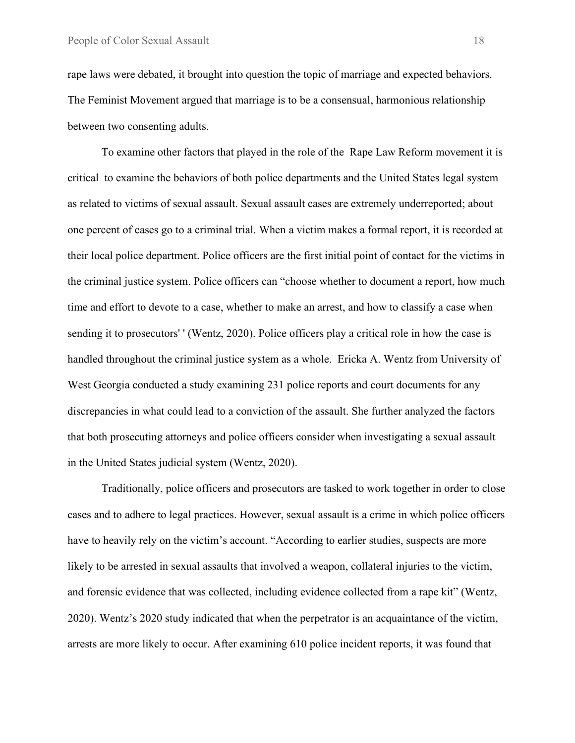rape laws were debated, it brought into question the topic of marriage and expected behaviors. The Feminist Movement argued that marriage is to be a consensual, harmonious relationship between two consenting adults.

To examine other factors that played in the role of the Rape Law Reform movement it is critical to examine the behaviors of both police departments and the United States legal system as related to victims of sexual assault. Sexual assault cases are extremely underreported; about one percent of cases go to a criminal trial. When a victim makes a formal report, it is recorded at their local police department. Police officers are the first initial point of contact for the victims in the criminal justice system. Police officers can "choose whether to document a report, how much time and effort to devote to a case, whether to make an arrest, and how to classify a case when sending it to prosecutors' ' (Wentz, 2020). Police officers play a critical role in how the case is handled throughout the criminal justice system as a whole. Ericka A. Wentz from University of West Georgia conducted a study examining 231 police reports and court documents for any discrepancies in what could lead to a conviction of the assault. She further analyzed the factors that both prosecuting attorneys and police officers consider when investigating a sexual assault in the United States judicial system (Wentz, 2020).

Traditionally, police officers and prosecutors are tasked to work together in order to close cases and to adhere to legal practices. However, sexual assault is a crime in which police officers have to heavily rely on the victim's account. "According to earlier studies, suspects are more likely to be arrested in sexual assaults that involved a weapon, collateral injuries to the victim, and forensic evidence that was collected, including evidence collected from a rape kit" (Wentz, 2020). Wentz's 2020 study indicated that when the perpetrator is an acquaintance of the victim, arrests are more likely to occur. After examining 610 police incident reports, it was found that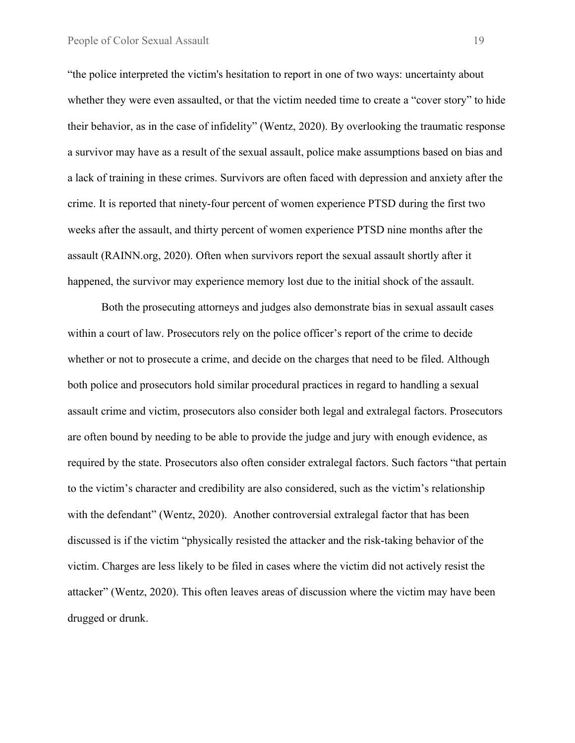"the police interpreted the victim's hesitation to report in one of two ways: uncertainty about whether they were even assaulted, or that the victim needed time to create a "cover story" to hide their behavior, as in the case of infidelity" (Wentz, 2020). By overlooking the traumatic response a survivor may have as a result of the sexual assault, police make assumptions based on bias and a lack of training in these crimes. Survivors are often faced with depression and anxiety after the crime. It is reported that ninety-four percent of women experience PTSD during the first two weeks after the assault, and thirty percent of women experience PTSD nine months after the assault (RAINN.org, 2020). Often when survivors report the sexual assault shortly after it happened, the survivor may experience memory lost due to the initial shock of the assault.

Both the prosecuting attorneys and judges also demonstrate bias in sexual assault cases within a court of law. Prosecutors rely on the police officer's report of the crime to decide whether or not to prosecute a crime, and decide on the charges that need to be filed. Although both police and prosecutors hold similar procedural practices in regard to handling a sexual assault crime and victim, prosecutors also consider both legal and extralegal factors. Prosecutors are often bound by needing to be able to provide the judge and jury with enough evidence, as required by the state. Prosecutors also often consider extralegal factors. Such factors "that pertain to the victim's character and credibility are also considered, such as the victim's relationship with the defendant" (Wentz, 2020). Another controversial extralegal factor that has been discussed is if the victim "physically resisted the attacker and the risk-taking behavior of the victim. Charges are less likely to be filed in cases where the victim did not actively resist the attacker" (Wentz, 2020). This often leaves areas of discussion where the victim may have been drugged or drunk.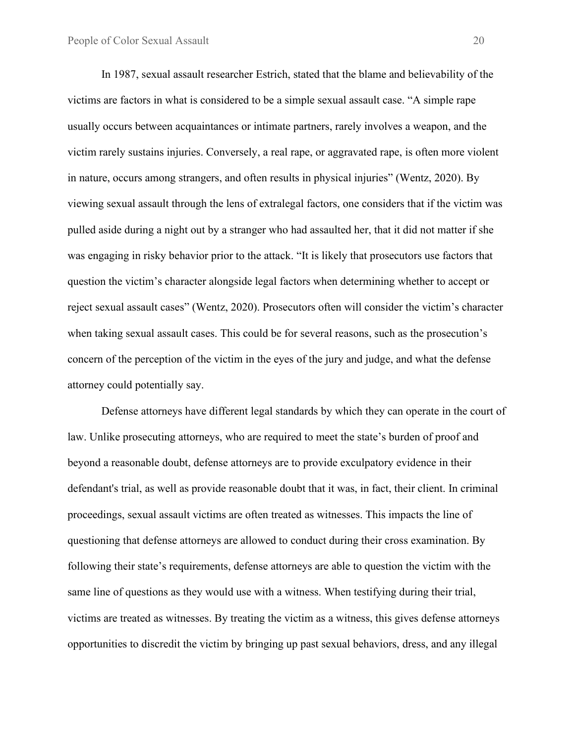In 1987, sexual assault researcher Estrich, stated that the blame and believability of the victims are factors in what is considered to be a simple sexual assault case. "A simple rape usually occurs between acquaintances or intimate partners, rarely involves a weapon, and the victim rarely sustains injuries. Conversely, a real rape, or aggravated rape, is often more violent in nature, occurs among strangers, and often results in physical injuries" (Wentz, 2020). By viewing sexual assault through the lens of extralegal factors, one considers that if the victim was pulled aside during a night out by a stranger who had assaulted her, that it did not matter if she was engaging in risky behavior prior to the attack. "It is likely that prosecutors use factors that question the victim's character alongside legal factors when determining whether to accept or reject sexual assault cases" (Wentz, 2020). Prosecutors often will consider the victim's character when taking sexual assault cases. This could be for several reasons, such as the prosecution's concern of the perception of the victim in the eyes of the jury and judge, and what the defense attorney could potentially say.

Defense attorneys have different legal standards by which they can operate in the court of law. Unlike prosecuting attorneys, who are required to meet the state's burden of proof and beyond a reasonable doubt, defense attorneys are to provide exculpatory evidence in their defendant's trial, as well as provide reasonable doubt that it was, in fact, their client. In criminal proceedings, sexual assault victims are often treated as witnesses. This impacts the line of questioning that defense attorneys are allowed to conduct during their cross examination. By following their state's requirements, defense attorneys are able to question the victim with the same line of questions as they would use with a witness. When testifying during their trial, victims are treated as witnesses. By treating the victim as a witness, this gives defense attorneys opportunities to discredit the victim by bringing up past sexual behaviors, dress, and any illegal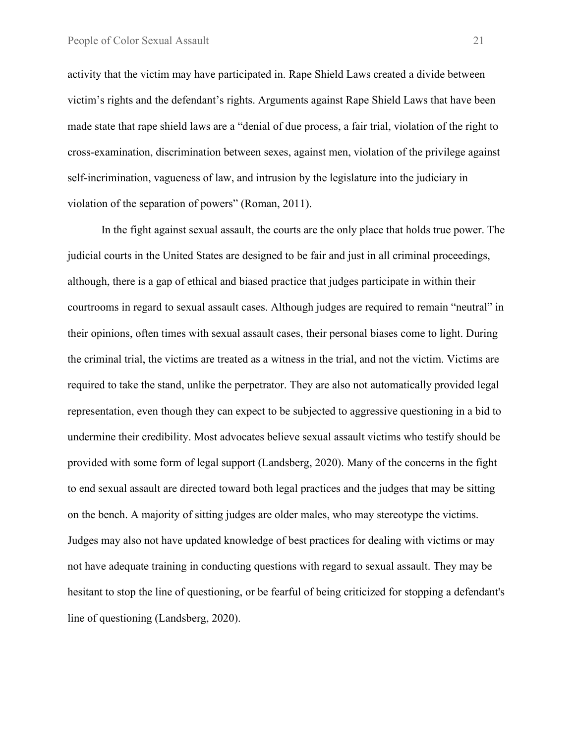activity that the victim may have participated in. Rape Shield Laws created a divide between victim's rights and the defendant's rights. Arguments against Rape Shield Laws that have been made state that rape shield laws are a "denial of due process, a fair trial, violation of the right to cross-examination, discrimination between sexes, against men, violation of the privilege against self-incrimination, vagueness of law, and intrusion by the legislature into the judiciary in violation of the separation of powers" (Roman, 2011).

In the fight against sexual assault, the courts are the only place that holds true power. The judicial courts in the United States are designed to be fair and just in all criminal proceedings, although, there is a gap of ethical and biased practice that judges participate in within their courtrooms in regard to sexual assault cases. Although judges are required to remain "neutral" in their opinions, often times with sexual assault cases, their personal biases come to light. During the criminal trial, the victims are treated as a witness in the trial, and not the victim. Victims are required to take the stand, unlike the perpetrator. They are also not automatically provided legal representation, even though they can expect to be subjected to aggressive questioning in a bid to undermine their credibility. Most advocates believe sexual assault victims who testify should be provided with some form of legal support (Landsberg, 2020). Many of the concerns in the fight to end sexual assault are directed toward both legal practices and the judges that may be sitting on the bench. A majority of sitting judges are older males, who may stereotype the victims. Judges may also not have updated knowledge of best practices for dealing with victims or may not have adequate training in conducting questions with regard to sexual assault. They may be hesitant to stop the line of questioning, or be fearful of being criticized for stopping a defendant's line of questioning (Landsberg, 2020).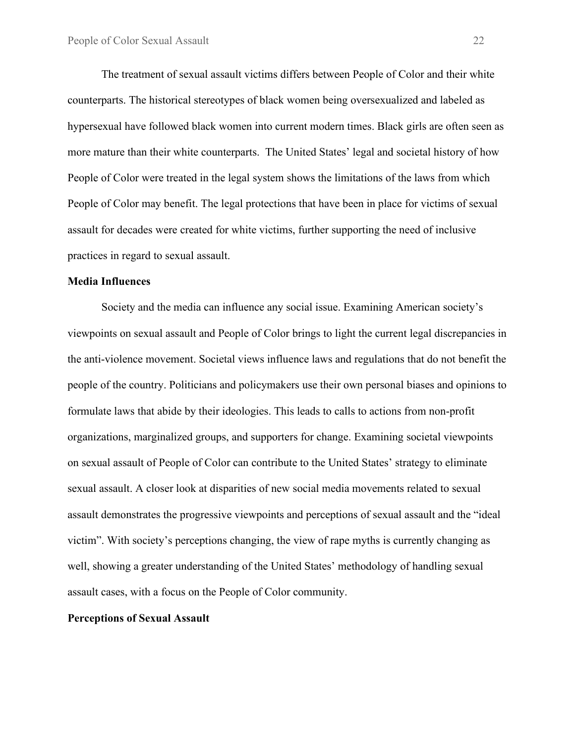The treatment of sexual assault victims differs between People of Color and their white counterparts. The historical stereotypes of black women being oversexualized and labeled as hypersexual have followed black women into current modern times. Black girls are often seen as more mature than their white counterparts. The United States' legal and societal history of how People of Color were treated in the legal system shows the limitations of the laws from which People of Color may benefit. The legal protections that have been in place for victims of sexual assault for decades were created for white victims, further supporting the need of inclusive practices in regard to sexual assault.

#### **Media Influences**

Society and the media can influence any social issue. Examining American society's viewpoints on sexual assault and People of Color brings to light the current legal discrepancies in the anti-violence movement. Societal views influence laws and regulations that do not benefit the people of the country. Politicians and policymakers use their own personal biases and opinions to formulate laws that abide by their ideologies. This leads to calls to actions from non-profit organizations, marginalized groups, and supporters for change. Examining societal viewpoints on sexual assault of People of Color can contribute to the United States' strategy to eliminate sexual assault. A closer look at disparities of new social media movements related to sexual assault demonstrates the progressive viewpoints and perceptions of sexual assault and the "ideal victim". With society's perceptions changing, the view of rape myths is currently changing as well, showing a greater understanding of the United States' methodology of handling sexual assault cases, with a focus on the People of Color community.

#### **Perceptions of Sexual Assault**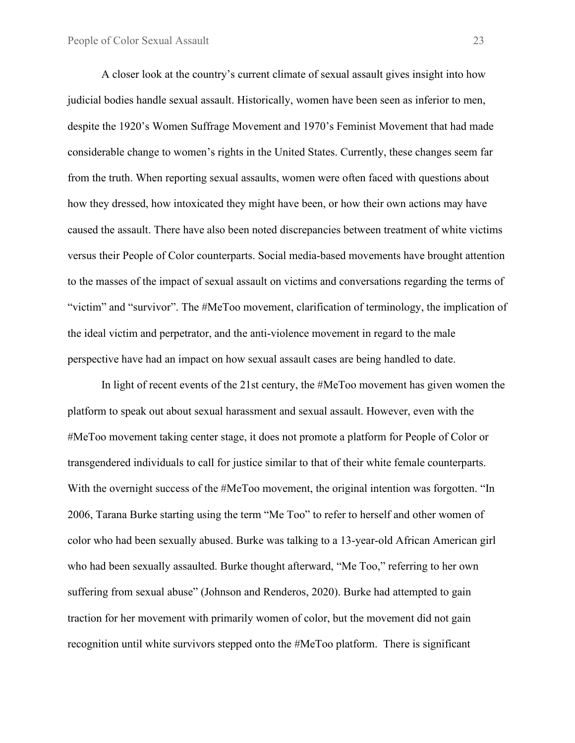A closer look at the country's current climate of sexual assault gives insight into how judicial bodies handle sexual assault. Historically, women have been seen as inferior to men, despite the 1920's Women Suffrage Movement and 1970's Feminist Movement that had made considerable change to women's rights in the United States. Currently, these changes seem far from the truth. When reporting sexual assaults, women were often faced with questions about how they dressed, how intoxicated they might have been, or how their own actions may have caused the assault. There have also been noted discrepancies between treatment of white victims versus their People of Color counterparts. Social media-based movements have brought attention to the masses of the impact of sexual assault on victims and conversations regarding the terms of "victim" and "survivor". The #MeToo movement, clarification of terminology, the implication of the ideal victim and perpetrator, and the anti-violence movement in regard to the male perspective have had an impact on how sexual assault cases are being handled to date.

In light of recent events of the 21st century, the #MeToo movement has given women the platform to speak out about sexual harassment and sexual assault. However, even with the #MeToo movement taking center stage, it does not promote a platform for People of Color or transgendered individuals to call for justice similar to that of their white female counterparts. With the overnight success of the #MeToo movement, the original intention was forgotten. "In 2006, Tarana Burke starting using the term "Me Too" to refer to herself and other women of color who had been sexually abused. Burke was talking to a 13-year-old African American girl who had been sexually assaulted. Burke thought afterward, "Me Too," referring to her own suffering from sexual abuse" (Johnson and Renderos, 2020). Burke had attempted to gain traction for her movement with primarily women of color, but the movement did not gain recognition until white survivors stepped onto the #MeToo platform. There is significant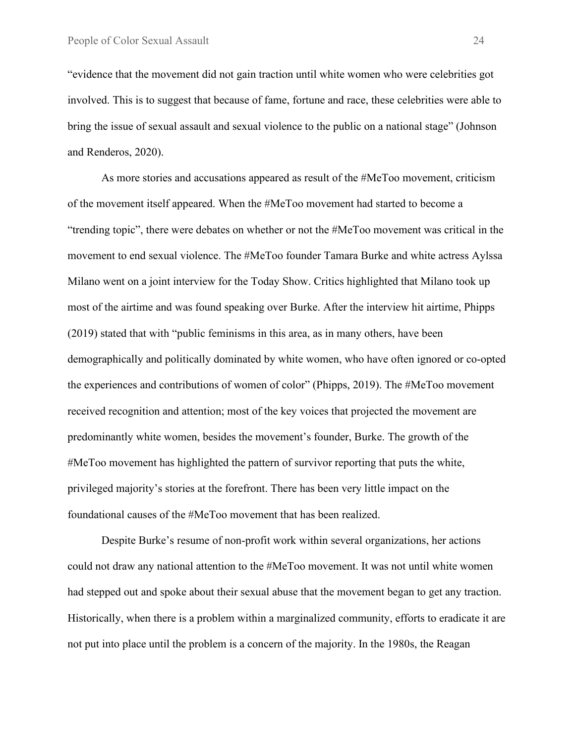"evidence that the movement did not gain traction until white women who were celebrities got involved. This is to suggest that because of fame, fortune and race, these celebrities were able to bring the issue of sexual assault and sexual violence to the public on a national stage" (Johnson and Renderos, 2020).

As more stories and accusations appeared as result of the #MeToo movement, criticism of the movement itself appeared. When the #MeToo movement had started to become a "trending topic", there were debates on whether or not the #MeToo movement was critical in the movement to end sexual violence. The #MeToo founder Tamara Burke and white actress Aylssa Milano went on a joint interview for the Today Show. Critics highlighted that Milano took up most of the airtime and was found speaking over Burke. After the interview hit airtime, Phipps (2019) stated that with "public feminisms in this area, as in many others, have been demographically and politically dominated by white women, who have often ignored or co-opted the experiences and contributions of women of color" (Phipps, 2019). The #MeToo movement received recognition and attention; most of the key voices that projected the movement are predominantly white women, besides the movement's founder, Burke. The growth of the #MeToo movement has highlighted the pattern of survivor reporting that puts the white, privileged majority's stories at the forefront. There has been very little impact on the foundational causes of the #MeToo movement that has been realized.

Despite Burke's resume of non-profit work within several organizations, her actions could not draw any national attention to the #MeToo movement. It was not until white women had stepped out and spoke about their sexual abuse that the movement began to get any traction. Historically, when there is a problem within a marginalized community, efforts to eradicate it are not put into place until the problem is a concern of the majority. In the 1980s, the Reagan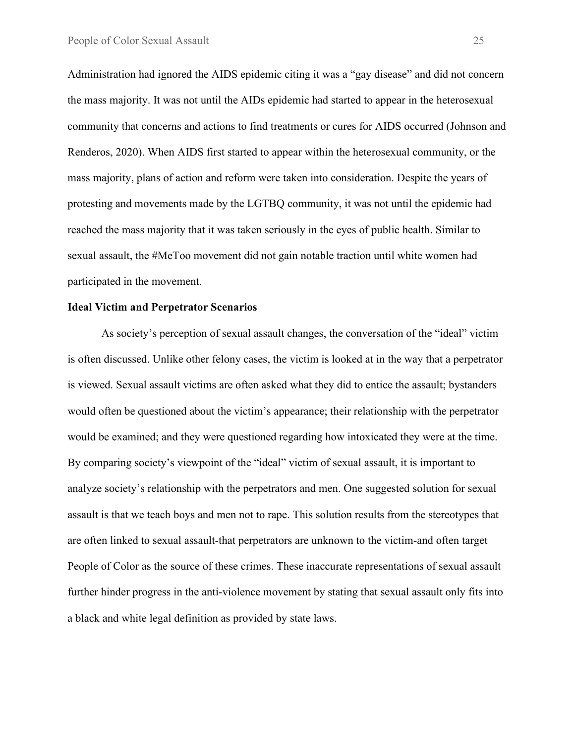Administration had ignored the AIDS epidemic citing it was a "gay disease" and did not concern the mass majority. It was not until the AIDs epidemic had started to appear in the heterosexual community that concerns and actions to find treatments or cures for AIDS occurred (Johnson and Renderos, 2020). When AIDS first started to appear within the heterosexual community, or the mass majority, plans of action and reform were taken into consideration. Despite the years of protesting and movements made by the LGTBQ community, it was not until the epidemic had reached the mass majority that it was taken seriously in the eyes of public health. Similar to sexual assault, the #MeToo movement did not gain notable traction until white women had participated in the movement.

#### **Ideal Victim and Perpetrator Scenarios**

As society's perception of sexual assault changes, the conversation of the "ideal" victim is often discussed. Unlike other felony cases, the victim is looked at in the way that a perpetrator is viewed. Sexual assault victims are often asked what they did to entice the assault; bystanders would often be questioned about the victim's appearance; their relationship with the perpetrator would be examined; and they were questioned regarding how intoxicated they were at the time. By comparing society's viewpoint of the "ideal" victim of sexual assault, it is important to analyze society's relationship with the perpetrators and men. One suggested solution for sexual assault is that we teach boys and men not to rape. This solution results from the stereotypes that are often linked to sexual assault-that perpetrators are unknown to the victim-and often target People of Color as the source of these crimes. These inaccurate representations of sexual assault further hinder progress in the anti-violence movement by stating that sexual assault only fits into a black and white legal definition as provided by state laws.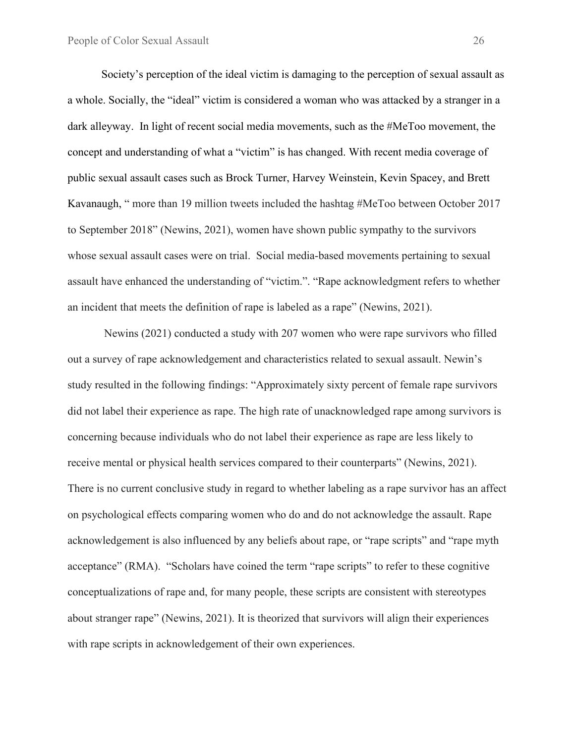Society's perception of the ideal victim is damaging to the perception of sexual assault as a whole. Socially, the "ideal" victim is considered a woman who was attacked by a stranger in a dark alleyway. In light of recent social media movements, such as the #MeToo movement, the concept and understanding of what a "victim" is has changed. With recent media coverage of public sexual assault cases such as Brock Turner, Harvey Weinstein, Kevin Spacey, and Brett Kavanaugh, " more than 19 million tweets included the hashtag #MeToo between October 2017 to September 2018" (Newins, 2021), women have shown public sympathy to the survivors whose sexual assault cases were on trial. Social media-based movements pertaining to sexual assault have enhanced the understanding of "victim.". "Rape acknowledgment refers to whether an incident that meets the definition of rape is labeled as a rape" (Newins, 2021).

Newins (2021) conducted a study with 207 women who were rape survivors who filled out a survey of rape acknowledgement and characteristics related to sexual assault. Newin's study resulted in the following findings: "Approximately sixty percent of female rape survivors did not label their experience as rape. The high rate of unacknowledged rape among survivors is concerning because individuals who do not label their experience as rape are less likely to receive mental or physical health services compared to their counterparts" (Newins, 2021). There is no current conclusive study in regard to whether labeling as a rape survivor has an affect on psychological effects comparing women who do and do not acknowledge the assault. Rape acknowledgement is also influenced by any beliefs about rape, or "rape scripts" and "rape myth acceptance" (RMA). "Scholars have coined the term "rape scripts" to refer to these cognitive conceptualizations of rape and, for many people, these scripts are consistent with stereotypes about stranger rape" (Newins, 2021). It is theorized that survivors will align their experiences with rape scripts in acknowledgement of their own experiences.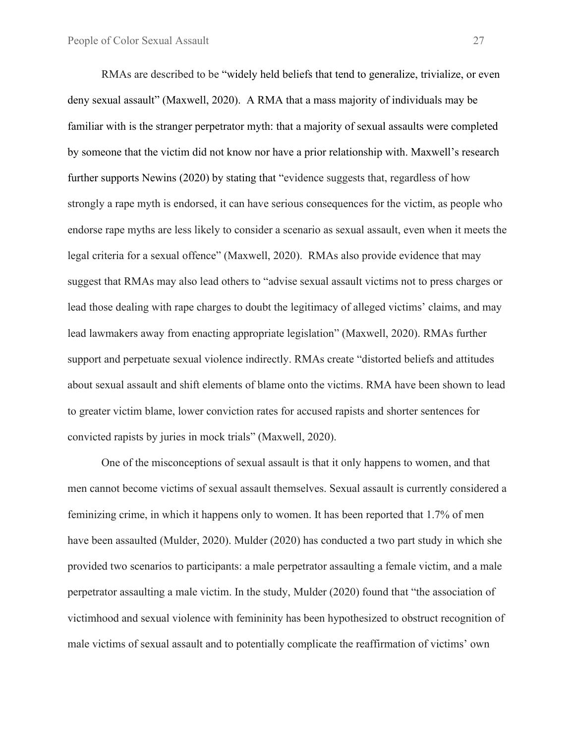RMAs are described to be "widely held beliefs that tend to generalize, trivialize, or even deny sexual assault" (Maxwell, 2020). A RMA that a mass majority of individuals may be familiar with is the stranger perpetrator myth: that a majority of sexual assaults were completed by someone that the victim did not know nor have a prior relationship with. Maxwell's research further supports Newins (2020) by stating that "evidence suggests that, regardless of how strongly a rape myth is endorsed, it can have serious consequences for the victim, as people who endorse rape myths are less likely to consider a scenario as sexual assault, even when it meets the legal criteria for a sexual offence" (Maxwell, 2020). RMAs also provide evidence that may suggest that RMAs may also lead others to "advise sexual assault victims not to press charges or lead those dealing with rape charges to doubt the legitimacy of alleged victims' claims, and may lead lawmakers away from enacting appropriate legislation" (Maxwell, 2020). RMAs further support and perpetuate sexual violence indirectly. RMAs create "distorted beliefs and attitudes about sexual assault and shift elements of blame onto the victims. RMA have been shown to lead to greater victim blame, lower conviction rates for accused rapists and shorter sentences for convicted rapists by juries in mock trials" (Maxwell, 2020).

One of the misconceptions of sexual assault is that it only happens to women, and that men cannot become victims of sexual assault themselves. Sexual assault is currently considered a feminizing crime, in which it happens only to women. It has been reported that 1.7% of men have been assaulted (Mulder, 2020). Mulder (2020) has conducted a two part study in which she provided two scenarios to participants: a male perpetrator assaulting a female victim, and a male perpetrator assaulting a male victim. In the study, Mulder (2020) found that "the association of victimhood and sexual violence with femininity has been hypothesized to obstruct recognition of male victims of sexual assault and to potentially complicate the reaffirmation of victims' own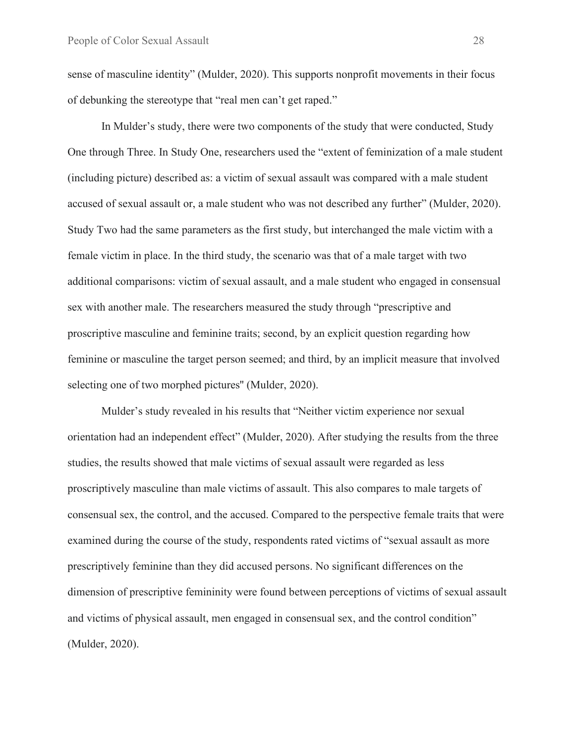sense of masculine identity" (Mulder, 2020). This supports nonprofit movements in their focus of debunking the stereotype that "real men can't get raped."

In Mulder's study, there were two components of the study that were conducted, Study One through Three. In Study One, researchers used the "extent of feminization of a male student (including picture) described as: a victim of sexual assault was compared with a male student accused of sexual assault or, a male student who was not described any further" (Mulder, 2020). Study Two had the same parameters as the first study, but interchanged the male victim with a female victim in place. In the third study, the scenario was that of a male target with two additional comparisons: victim of sexual assault, and a male student who engaged in consensual sex with another male. The researchers measured the study through "prescriptive and proscriptive masculine and feminine traits; second, by an explicit question regarding how feminine or masculine the target person seemed; and third, by an implicit measure that involved selecting one of two morphed pictures'' (Mulder, 2020).

Mulder's study revealed in his results that "Neither victim experience nor sexual orientation had an independent effect" (Mulder, 2020). After studying the results from the three studies, the results showed that male victims of sexual assault were regarded as less proscriptively masculine than male victims of assault. This also compares to male targets of consensual sex, the control, and the accused. Compared to the perspective female traits that were examined during the course of the study, respondents rated victims of "sexual assault as more prescriptively feminine than they did accused persons. No significant differences on the dimension of prescriptive femininity were found between perceptions of victims of sexual assault and victims of physical assault, men engaged in consensual sex, and the control condition" (Mulder, 2020).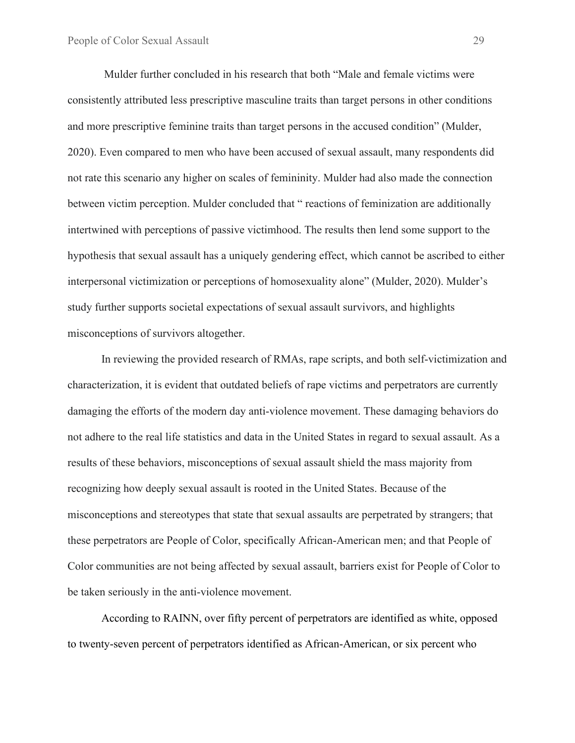Mulder further concluded in his research that both "Male and female victims were consistently attributed less prescriptive masculine traits than target persons in other conditions and more prescriptive feminine traits than target persons in the accused condition" (Mulder, 2020). Even compared to men who have been accused of sexual assault, many respondents did not rate this scenario any higher on scales of femininity. Mulder had also made the connection between victim perception. Mulder concluded that " reactions of feminization are additionally intertwined with perceptions of passive victimhood. The results then lend some support to the hypothesis that sexual assault has a uniquely gendering effect, which cannot be ascribed to either interpersonal victimization or perceptions of homosexuality alone" (Mulder, 2020). Mulder's study further supports societal expectations of sexual assault survivors, and highlights misconceptions of survivors altogether.

In reviewing the provided research of RMAs, rape scripts, and both self-victimization and characterization, it is evident that outdated beliefs of rape victims and perpetrators are currently damaging the efforts of the modern day anti-violence movement. These damaging behaviors do not adhere to the real life statistics and data in the United States in regard to sexual assault. As a results of these behaviors, misconceptions of sexual assault shield the mass majority from recognizing how deeply sexual assault is rooted in the United States. Because of the misconceptions and stereotypes that state that sexual assaults are perpetrated by strangers; that these perpetrators are People of Color, specifically African-American men; and that People of Color communities are not being affected by sexual assault, barriers exist for People of Color to be taken seriously in the anti-violence movement.

According to RAINN, over fifty percent of perpetrators are identified as white, opposed to twenty-seven percent of perpetrators identified as African-American, or six percent who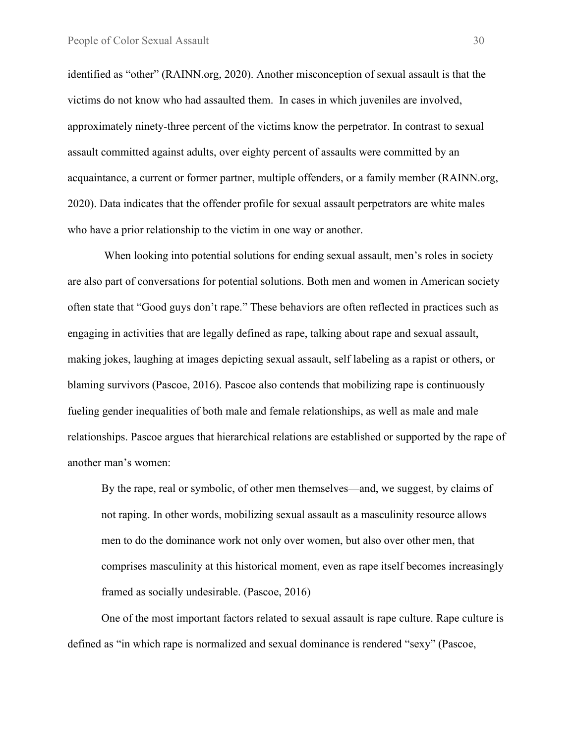identified as "other" (RAINN.org, 2020). Another misconception of sexual assault is that the victims do not know who had assaulted them. In cases in which juveniles are involved, approximately ninety-three percent of the victims know the perpetrator. In contrast to sexual assault committed against adults, over eighty percent of assaults were committed by an acquaintance, a current or former partner, multiple offenders, or a family member (RAINN.org, 2020). Data indicates that the offender profile for sexual assault perpetrators are white males who have a prior relationship to the victim in one way or another.

When looking into potential solutions for ending sexual assault, men's roles in society are also part of conversations for potential solutions. Both men and women in American society often state that "Good guys don't rape." These behaviors are often reflected in practices such as engaging in activities that are legally defined as rape, talking about rape and sexual assault, making jokes, laughing at images depicting sexual assault, self labeling as a rapist or others, or blaming survivors (Pascoe, 2016). Pascoe also contends that mobilizing rape is continuously fueling gender inequalities of both male and female relationships, as well as male and male relationships. Pascoe argues that hierarchical relations are established or supported by the rape of another man's women:

By the rape, real or symbolic, of other men themselves—and, we suggest, by claims of not raping. In other words, mobilizing sexual assault as a masculinity resource allows men to do the dominance work not only over women, but also over other men, that comprises masculinity at this historical moment, even as rape itself becomes increasingly framed as socially undesirable. (Pascoe, 2016)

One of the most important factors related to sexual assault is rape culture. Rape culture is defined as "in which rape is normalized and sexual dominance is rendered "sexy" (Pascoe,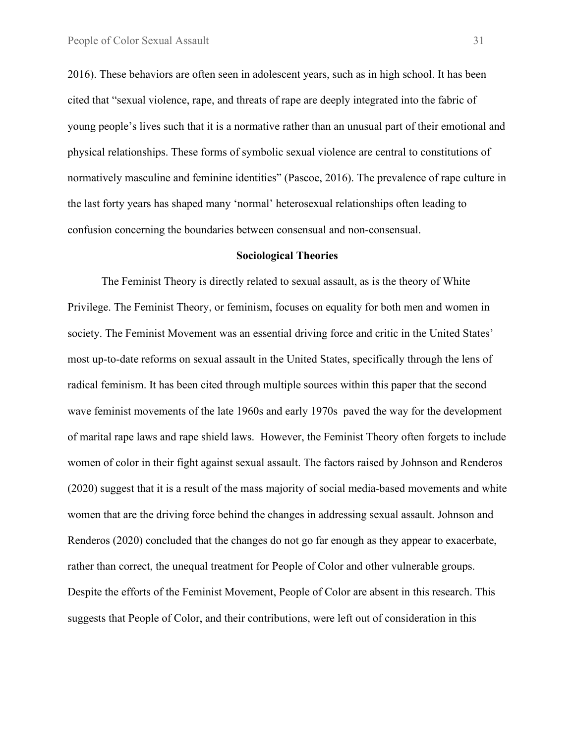2016). These behaviors are often seen in adolescent years, such as in high school. It has been cited that "sexual violence, rape, and threats of rape are deeply integrated into the fabric of young people's lives such that it is a normative rather than an unusual part of their emotional and physical relationships. These forms of symbolic sexual violence are central to constitutions of normatively masculine and feminine identities" (Pascoe, 2016). The prevalence of rape culture in the last forty years has shaped many 'normal' heterosexual relationships often leading to confusion concerning the boundaries between consensual and non-consensual.

#### **Sociological Theories**

The Feminist Theory is directly related to sexual assault, as is the theory of White Privilege. The Feminist Theory, or feminism, focuses on equality for both men and women in society. The Feminist Movement was an essential driving force and critic in the United States' most up-to-date reforms on sexual assault in the United States, specifically through the lens of radical feminism. It has been cited through multiple sources within this paper that the second wave feminist movements of the late 1960s and early 1970s paved the way for the development of marital rape laws and rape shield laws. However, the Feminist Theory often forgets to include women of color in their fight against sexual assault. The factors raised by Johnson and Renderos (2020) suggest that it is a result of the mass majority of social media-based movements and white women that are the driving force behind the changes in addressing sexual assault. Johnson and Renderos (2020) concluded that the changes do not go far enough as they appear to exacerbate, rather than correct, the unequal treatment for People of Color and other vulnerable groups. Despite the efforts of the Feminist Movement, People of Color are absent in this research. This suggests that People of Color, and their contributions, were left out of consideration in this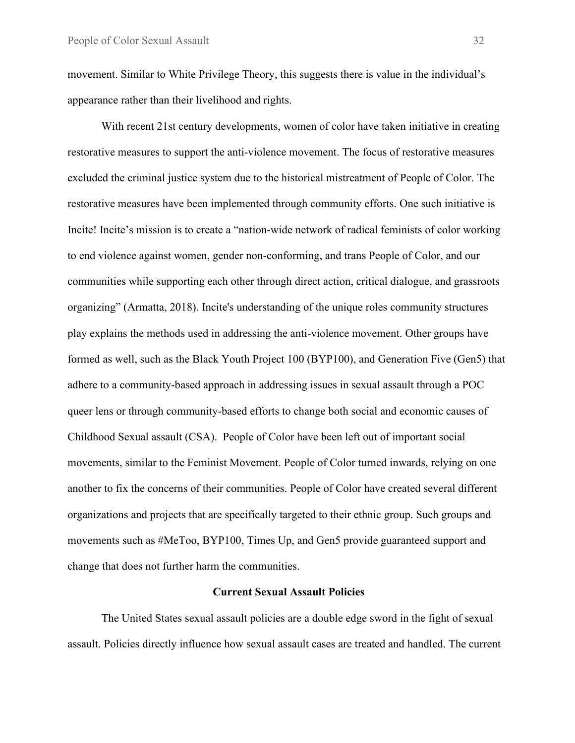movement. Similar to White Privilege Theory, this suggests there is value in the individual's appearance rather than their livelihood and rights.

With recent 21st century developments, women of color have taken initiative in creating restorative measures to support the anti-violence movement. The focus of restorative measures excluded the criminal justice system due to the historical mistreatment of People of Color. The restorative measures have been implemented through community efforts. One such initiative is Incite! Incite's mission is to create a "nation-wide network of radical feminists of color working to end violence against women, gender non-conforming, and trans People of Color, and our communities while supporting each other through direct action, critical dialogue, and grassroots organizing" (Armatta, 2018). Incite's understanding of the unique roles community structures play explains the methods used in addressing the anti-violence movement. Other groups have formed as well, such as the Black Youth Project 100 (BYP100), and Generation Five (Gen5) that adhere to a community-based approach in addressing issues in sexual assault through a POC queer lens or through community-based efforts to change both social and economic causes of Childhood Sexual assault (CSA). People of Color have been left out of important social movements, similar to the Feminist Movement. People of Color turned inwards, relying on one another to fix the concerns of their communities. People of Color have created several different organizations and projects that are specifically targeted to their ethnic group. Such groups and movements such as #MeToo, BYP100, Times Up, and Gen5 provide guaranteed support and change that does not further harm the communities.

#### **Current Sexual Assault Policies**

The United States sexual assault policies are a double edge sword in the fight of sexual assault. Policies directly influence how sexual assault cases are treated and handled. The current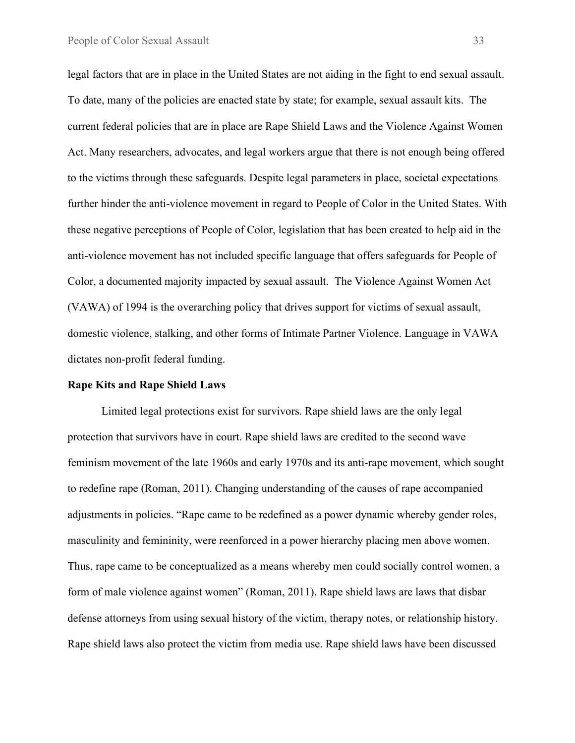legal factors that are in place in the United States are not aiding in the fight to end sexual assault. To date, many of the policies are enacted state by state; for example, sexual assault kits. The current federal policies that are in place are Rape Shield Laws and the Violence Against Women Act. Many researchers, advocates, and legal workers argue that there is not enough being offered to the victims through these safeguards. Despite legal parameters in place, societal expectations further hinder the anti-violence movement in regard to People of Color in the United States. With these negative perceptions of People of Color, legislation that has been created to help aid in the anti-violence movement has not included specific language that offers safeguards for People of Color, a documented majority impacted by sexual assault. The Violence Against Women Act (VAWA) of 1994 is the overarching policy that drives support for victims of sexual assault, domestic violence, stalking, and other forms of Intimate Partner Violence. Language in VAWA dictates non-profit federal funding.

#### **Rape Kits and Rape Shield Laws**

Limited legal protections exist for survivors. Rape shield laws are the only legal protection that survivors have in court. Rape shield laws are credited to the second wave feminism movement of the late 1960s and early 1970s and its anti-rape movement, which sought to redefine rape (Roman, 2011). Changing understanding of the causes of rape accompanied adjustments in policies. "Rape came to be redefined as a power dynamic whereby gender roles, masculinity and femininity, were reenforced in a power hierarchy placing men above women. Thus, rape came to be conceptualized as a means whereby men could socially control women, a form of male violence against women" (Roman, 2011). Rape shield laws are laws that disbar defense attorneys from using sexual history of the victim, therapy notes, or relationship history. Rape shield laws also protect the victim from media use. Rape shield laws have been discussed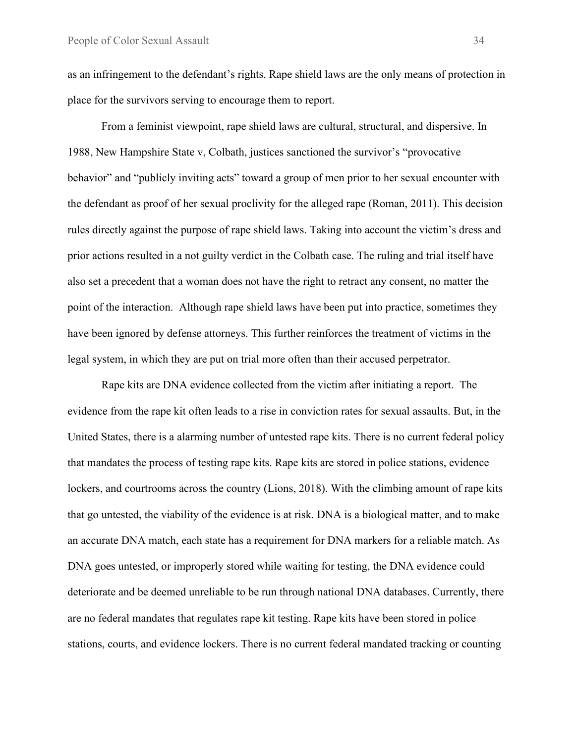as an infringement to the defendant's rights. Rape shield laws are the only means of protection in place for the survivors serving to encourage them to report.

From a feminist viewpoint, rape shield laws are cultural, structural, and dispersive. In 1988, New Hampshire State v, Colbath, justices sanctioned the survivor's "provocative behavior" and "publicly inviting acts" toward a group of men prior to her sexual encounter with the defendant as proof of her sexual proclivity for the alleged rape (Roman, 2011). This decision rules directly against the purpose of rape shield laws. Taking into account the victim's dress and prior actions resulted in a not guilty verdict in the Colbath case. The ruling and trial itself have also set a precedent that a woman does not have the right to retract any consent, no matter the point of the interaction. Although rape shield laws have been put into practice, sometimes they have been ignored by defense attorneys. This further reinforces the treatment of victims in the legal system, in which they are put on trial more often than their accused perpetrator.

Rape kits are DNA evidence collected from the victim after initiating a report. The evidence from the rape kit often leads to a rise in conviction rates for sexual assaults. But, in the United States, there is a alarming number of untested rape kits. There is no current federal policy that mandates the process of testing rape kits. Rape kits are stored in police stations, evidence lockers, and courtrooms across the country (Lions, 2018). With the climbing amount of rape kits that go untested, the viability of the evidence is at risk. DNA is a biological matter, and to make an accurate DNA match, each state has a requirement for DNA markers for a reliable match. As DNA goes untested, or improperly stored while waiting for testing, the DNA evidence could deteriorate and be deemed unreliable to be run through national DNA databases. Currently, there are no federal mandates that regulates rape kit testing. Rape kits have been stored in police stations, courts, and evidence lockers. There is no current federal mandated tracking or counting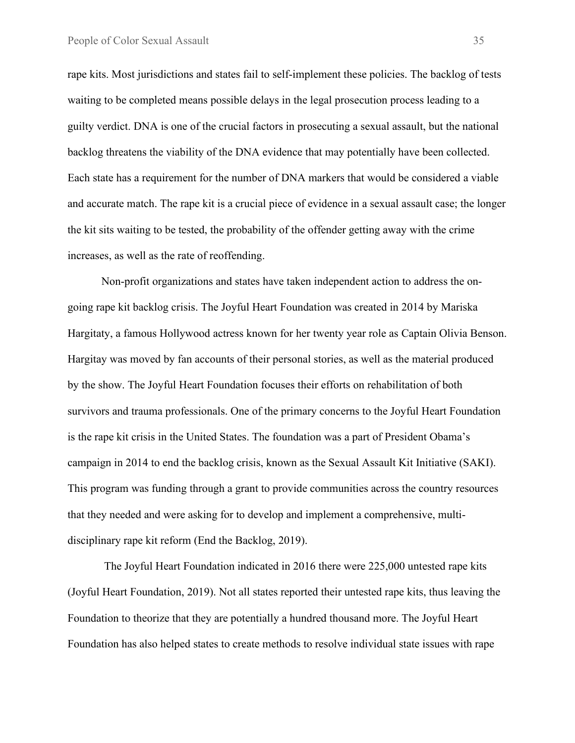rape kits. Most jurisdictions and states fail to self-implement these policies. The backlog of tests waiting to be completed means possible delays in the legal prosecution process leading to a guilty verdict. DNA is one of the crucial factors in prosecuting a sexual assault, but the national backlog threatens the viability of the DNA evidence that may potentially have been collected. Each state has a requirement for the number of DNA markers that would be considered a viable and accurate match. The rape kit is a crucial piece of evidence in a sexual assault case; the longer the kit sits waiting to be tested, the probability of the offender getting away with the crime increases, as well as the rate of reoffending.

Non-profit organizations and states have taken independent action to address the ongoing rape kit backlog crisis. The Joyful Heart Foundation was created in 2014 by Mariska Hargitaty, a famous Hollywood actress known for her twenty year role as Captain Olivia Benson. Hargitay was moved by fan accounts of their personal stories, as well as the material produced by the show. The Joyful Heart Foundation focuses their efforts on rehabilitation of both survivors and trauma professionals. One of the primary concerns to the Joyful Heart Foundation is the rape kit crisis in the United States. The foundation was a part of President Obama's campaign in 2014 to end the backlog crisis, known as the Sexual Assault Kit Initiative (SAKI). This program was funding through a grant to provide communities across the country resources that they needed and were asking for to develop and implement a comprehensive, multidisciplinary rape kit reform (End the Backlog, 2019).

The Joyful Heart Foundation indicated in 2016 there were 225,000 untested rape kits (Joyful Heart Foundation, 2019). Not all states reported their untested rape kits, thus leaving the Foundation to theorize that they are potentially a hundred thousand more. The Joyful Heart Foundation has also helped states to create methods to resolve individual state issues with rape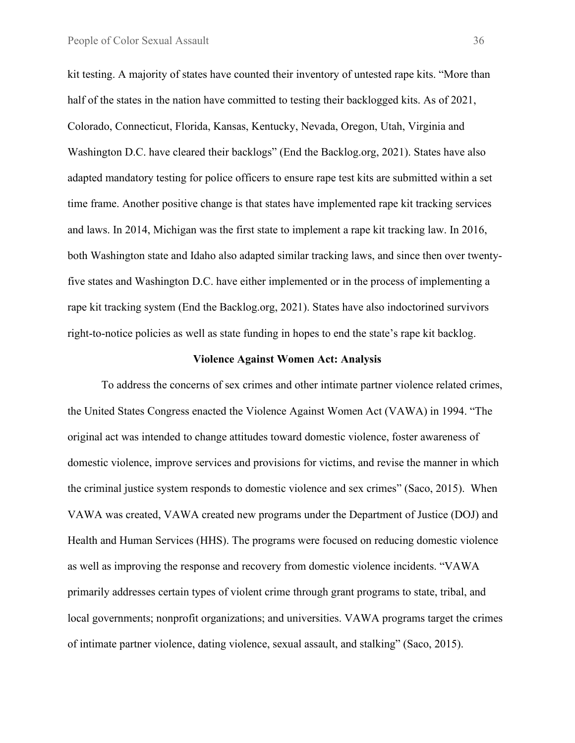kit testing. A majority of states have counted their inventory of untested rape kits. "More than half of the states in the nation have committed to testing their backlogged kits. As of 2021, Colorado, Connecticut, Florida, Kansas, Kentucky, Nevada, Oregon, Utah, Virginia and Washington D.C. have cleared their backlogs" (End the Backlog.org, 2021). States have also adapted mandatory testing for police officers to ensure rape test kits are submitted within a set time frame. Another positive change is that states have implemented rape kit tracking services and laws. In 2014, Michigan was the first state to implement a rape kit tracking law. In 2016, both Washington state and Idaho also adapted similar tracking laws, and since then over twentyfive states and Washington D.C. have either implemented or in the process of implementing a rape kit tracking system (End the Backlog.org, 2021). States have also indoctorined survivors right-to-notice policies as well as state funding in hopes to end the state's rape kit backlog.

#### **Violence Against Women Act: Analysis**

To address the concerns of sex crimes and other intimate partner violence related crimes, the United States Congress enacted the Violence Against Women Act (VAWA) in 1994. "The original act was intended to change attitudes toward domestic violence, foster awareness of domestic violence, improve services and provisions for victims, and revise the manner in which the criminal justice system responds to domestic violence and sex crimes" (Saco, 2015). When VAWA was created, VAWA created new programs under the Department of Justice (DOJ) and Health and Human Services (HHS). The programs were focused on reducing domestic violence as well as improving the response and recovery from domestic violence incidents. "VAWA primarily addresses certain types of violent crime through grant programs to state, tribal, and local governments; nonprofit organizations; and universities. VAWA programs target the crimes of intimate partner violence, dating violence, sexual assault, and stalking" (Saco, 2015).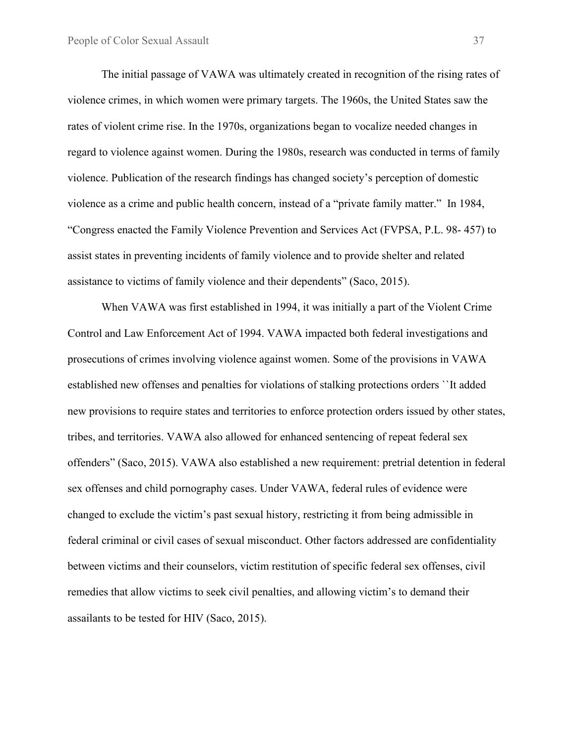The initial passage of VAWA was ultimately created in recognition of the rising rates of violence crimes, in which women were primary targets. The 1960s, the United States saw the rates of violent crime rise. In the 1970s, organizations began to vocalize needed changes in regard to violence against women. During the 1980s, research was conducted in terms of family violence. Publication of the research findings has changed society's perception of domestic violence as a crime and public health concern, instead of a "private family matter." In 1984, "Congress enacted the Family Violence Prevention and Services Act (FVPSA, P.L. 98- 457) to assist states in preventing incidents of family violence and to provide shelter and related assistance to victims of family violence and their dependents" (Saco, 2015).

When VAWA was first established in 1994, it was initially a part of the Violent Crime Control and Law Enforcement Act of 1994. VAWA impacted both federal investigations and prosecutions of crimes involving violence against women. Some of the provisions in VAWA established new offenses and penalties for violations of stalking protections orders ``It added new provisions to require states and territories to enforce protection orders issued by other states, tribes, and territories. VAWA also allowed for enhanced sentencing of repeat federal sex offenders" (Saco, 2015). VAWA also established a new requirement: pretrial detention in federal sex offenses and child pornography cases. Under VAWA, federal rules of evidence were changed to exclude the victim's past sexual history, restricting it from being admissible in federal criminal or civil cases of sexual misconduct. Other factors addressed are confidentiality between victims and their counselors, victim restitution of specific federal sex offenses, civil remedies that allow victims to seek civil penalties, and allowing victim's to demand their assailants to be tested for HIV (Saco, 2015).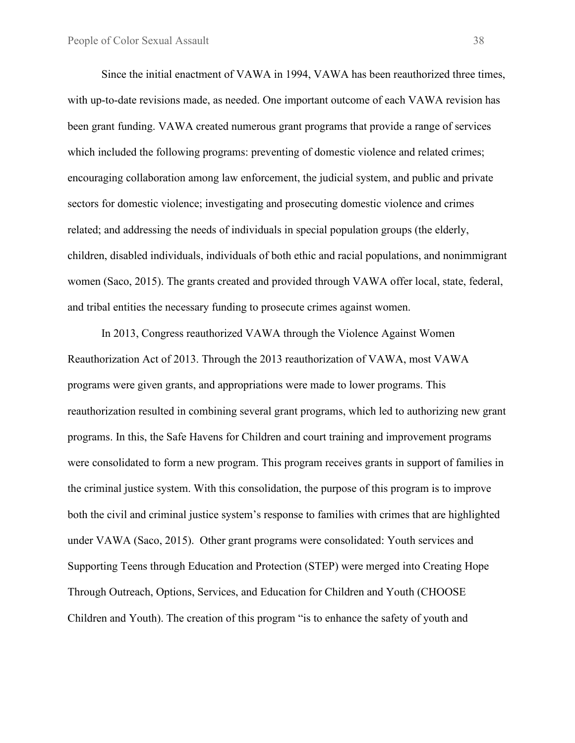Since the initial enactment of VAWA in 1994, VAWA has been reauthorized three times, with up-to-date revisions made, as needed. One important outcome of each VAWA revision has been grant funding. VAWA created numerous grant programs that provide a range of services which included the following programs: preventing of domestic violence and related crimes; encouraging collaboration among law enforcement, the judicial system, and public and private sectors for domestic violence; investigating and prosecuting domestic violence and crimes related; and addressing the needs of individuals in special population groups (the elderly, children, disabled individuals, individuals of both ethic and racial populations, and nonimmigrant women (Saco, 2015). The grants created and provided through VAWA offer local, state, federal, and tribal entities the necessary funding to prosecute crimes against women.

In 2013, Congress reauthorized VAWA through the Violence Against Women Reauthorization Act of 2013. Through the 2013 reauthorization of VAWA, most VAWA programs were given grants, and appropriations were made to lower programs. This reauthorization resulted in combining several grant programs, which led to authorizing new grant programs. In this, the Safe Havens for Children and court training and improvement programs were consolidated to form a new program. This program receives grants in support of families in the criminal justice system. With this consolidation, the purpose of this program is to improve both the civil and criminal justice system's response to families with crimes that are highlighted under VAWA (Saco, 2015). Other grant programs were consolidated: Youth services and Supporting Teens through Education and Protection (STEP) were merged into Creating Hope Through Outreach, Options, Services, and Education for Children and Youth (CHOOSE Children and Youth). The creation of this program "is to enhance the safety of youth and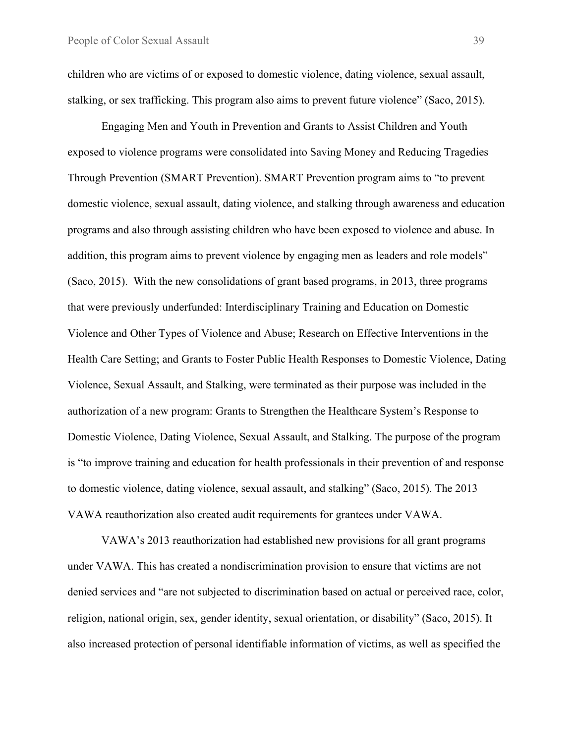children who are victims of or exposed to domestic violence, dating violence, sexual assault, stalking, or sex trafficking. This program also aims to prevent future violence" (Saco, 2015).

Engaging Men and Youth in Prevention and Grants to Assist Children and Youth exposed to violence programs were consolidated into Saving Money and Reducing Tragedies Through Prevention (SMART Prevention). SMART Prevention program aims to "to prevent domestic violence, sexual assault, dating violence, and stalking through awareness and education programs and also through assisting children who have been exposed to violence and abuse. In addition, this program aims to prevent violence by engaging men as leaders and role models" (Saco, 2015). With the new consolidations of grant based programs, in 2013, three programs that were previously underfunded: Interdisciplinary Training and Education on Domestic Violence and Other Types of Violence and Abuse; Research on Effective Interventions in the Health Care Setting; and Grants to Foster Public Health Responses to Domestic Violence, Dating Violence, Sexual Assault, and Stalking, were terminated as their purpose was included in the authorization of a new program: Grants to Strengthen the Healthcare System's Response to Domestic Violence, Dating Violence, Sexual Assault, and Stalking. The purpose of the program is "to improve training and education for health professionals in their prevention of and response to domestic violence, dating violence, sexual assault, and stalking" (Saco, 2015). The 2013 VAWA reauthorization also created audit requirements for grantees under VAWA.

VAWA's 2013 reauthorization had established new provisions for all grant programs under VAWA. This has created a nondiscrimination provision to ensure that victims are not denied services and "are not subjected to discrimination based on actual or perceived race, color, religion, national origin, sex, gender identity, sexual orientation, or disability" (Saco, 2015). It also increased protection of personal identifiable information of victims, as well as specified the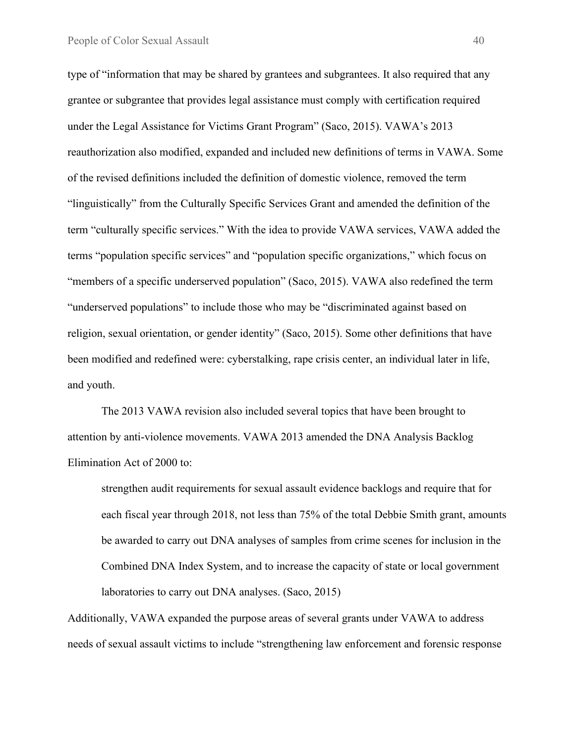type of "information that may be shared by grantees and subgrantees. It also required that any grantee or subgrantee that provides legal assistance must comply with certification required under the Legal Assistance for Victims Grant Program" (Saco, 2015). VAWA's 2013 reauthorization also modified, expanded and included new definitions of terms in VAWA. Some of the revised definitions included the definition of domestic violence, removed the term "linguistically" from the Culturally Specific Services Grant and amended the definition of the term "culturally specific services." With the idea to provide VAWA services, VAWA added the terms "population specific services" and "population specific organizations," which focus on "members of a specific underserved population" (Saco, 2015). VAWA also redefined the term "underserved populations" to include those who may be "discriminated against based on religion, sexual orientation, or gender identity" (Saco, 2015). Some other definitions that have been modified and redefined were: cyberstalking, rape crisis center, an individual later in life, and youth.

The 2013 VAWA revision also included several topics that have been brought to attention by anti-violence movements. VAWA 2013 amended the DNA Analysis Backlog Elimination Act of 2000 to:

strengthen audit requirements for sexual assault evidence backlogs and require that for each fiscal year through 2018, not less than 75% of the total Debbie Smith grant, amounts be awarded to carry out DNA analyses of samples from crime scenes for inclusion in the Combined DNA Index System, and to increase the capacity of state or local government laboratories to carry out DNA analyses. (Saco, 2015)

Additionally, VAWA expanded the purpose areas of several grants under VAWA to address needs of sexual assault victims to include "strengthening law enforcement and forensic response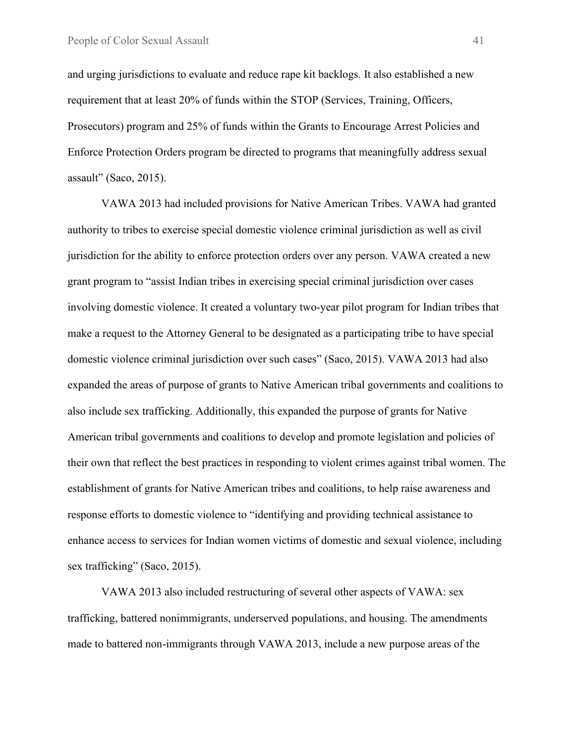and urging jurisdictions to evaluate and reduce rape kit backlogs. It also established a new requirement that at least 20% of funds within the STOP (Services, Training, Officers, Prosecutors) program and 25% of funds within the Grants to Encourage Arrest Policies and Enforce Protection Orders program be directed to programs that meaningfully address sexual assault" (Saco, 2015).

VAWA 2013 had included provisions for Native American Tribes. VAWA had granted authority to tribes to exercise special domestic violence criminal jurisdiction as well as civil jurisdiction for the ability to enforce protection orders over any person. VAWA created a new grant program to "assist Indian tribes in exercising special criminal jurisdiction over cases involving domestic violence. It created a voluntary two-year pilot program for Indian tribes that make a request to the Attorney General to be designated as a participating tribe to have special domestic violence criminal jurisdiction over such cases" (Saco, 2015). VAWA 2013 had also expanded the areas of purpose of grants to Native American tribal governments and coalitions to also include sex trafficking. Additionally, this expanded the purpose of grants for Native American tribal governments and coalitions to develop and promote legislation and policies of their own that reflect the best practices in responding to violent crimes against tribal women. The establishment of grants for Native American tribes and coalitions, to help raise awareness and response efforts to domestic violence to "identifying and providing technical assistance to enhance access to services for Indian women victims of domestic and sexual violence, including sex trafficking" (Saco, 2015).

VAWA 2013 also included restructuring of several other aspects of VAWA: sex trafficking, battered nonimmigrants, underserved populations, and housing. The amendments made to battered non-immigrants through VAWA 2013, include a new purpose areas of the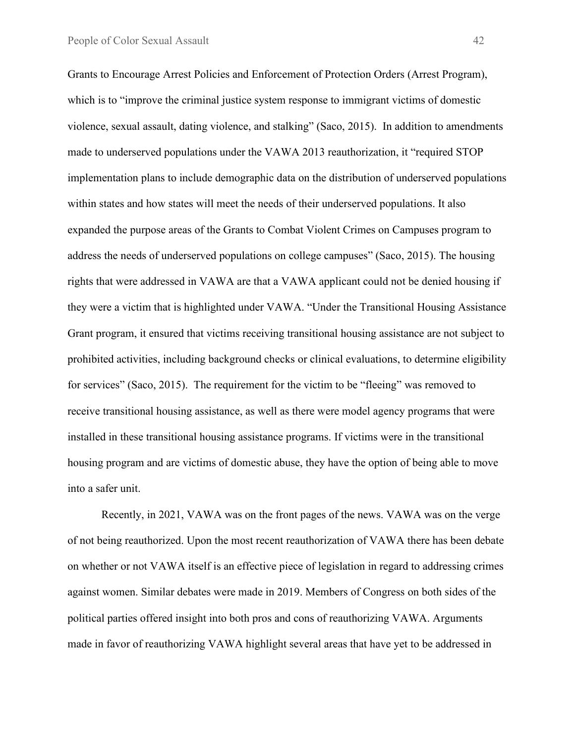Grants to Encourage Arrest Policies and Enforcement of Protection Orders (Arrest Program), which is to "improve the criminal justice system response to immigrant victims of domestic violence, sexual assault, dating violence, and stalking" (Saco, 2015). In addition to amendments made to underserved populations under the VAWA 2013 reauthorization, it "required STOP implementation plans to include demographic data on the distribution of underserved populations within states and how states will meet the needs of their underserved populations. It also expanded the purpose areas of the Grants to Combat Violent Crimes on Campuses program to address the needs of underserved populations on college campuses" (Saco, 2015). The housing rights that were addressed in VAWA are that a VAWA applicant could not be denied housing if they were a victim that is highlighted under VAWA. "Under the Transitional Housing Assistance Grant program, it ensured that victims receiving transitional housing assistance are not subject to prohibited activities, including background checks or clinical evaluations, to determine eligibility for services" (Saco, 2015). The requirement for the victim to be "fleeing" was removed to receive transitional housing assistance, as well as there were model agency programs that were installed in these transitional housing assistance programs. If victims were in the transitional housing program and are victims of domestic abuse, they have the option of being able to move into a safer unit.

Recently, in 2021, VAWA was on the front pages of the news. VAWA was on the verge of not being reauthorized. Upon the most recent reauthorization of VAWA there has been debate on whether or not VAWA itself is an effective piece of legislation in regard to addressing crimes against women. Similar debates were made in 2019. Members of Congress on both sides of the political parties offered insight into both pros and cons of reauthorizing VAWA. Arguments made in favor of reauthorizing VAWA highlight several areas that have yet to be addressed in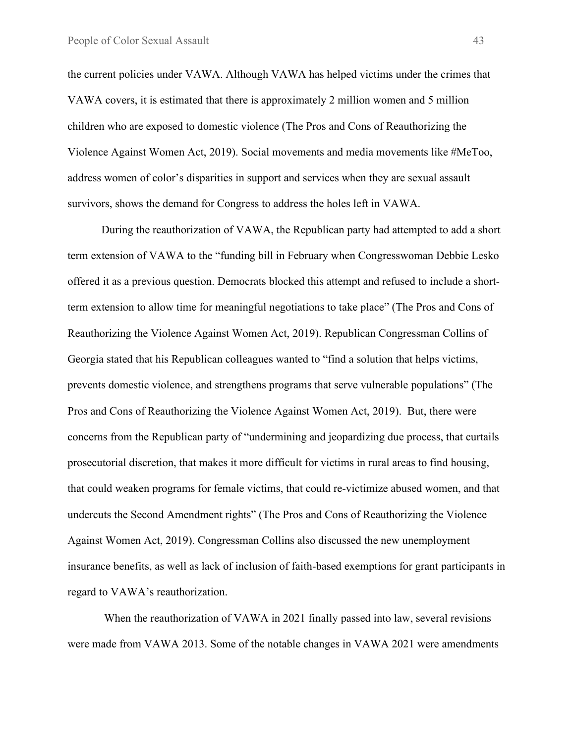the current policies under VAWA. Although VAWA has helped victims under the crimes that VAWA covers, it is estimated that there is approximately 2 million women and 5 million children who are exposed to domestic violence (The Pros and Cons of Reauthorizing the Violence Against Women Act, 2019). Social movements and media movements like #MeToo, address women of color's disparities in support and services when they are sexual assault survivors, shows the demand for Congress to address the holes left in VAWA.

During the reauthorization of VAWA, the Republican party had attempted to add a short term extension of VAWA to the "funding bill in February when Congresswoman Debbie Lesko offered it as a previous question. Democrats blocked this attempt and refused to include a shortterm extension to allow time for meaningful negotiations to take place" (The Pros and Cons of Reauthorizing the Violence Against Women Act, 2019). Republican Congressman Collins of Georgia stated that his Republican colleagues wanted to "find a solution that helps victims, prevents domestic violence, and strengthens programs that serve vulnerable populations" (The Pros and Cons of Reauthorizing the Violence Against Women Act, 2019). But, there were concerns from the Republican party of "undermining and jeopardizing due process, that curtails prosecutorial discretion, that makes it more difficult for victims in rural areas to find housing, that could weaken programs for female victims, that could re-victimize abused women, and that undercuts the Second Amendment rights" (The Pros and Cons of Reauthorizing the Violence Against Women Act, 2019). Congressman Collins also discussed the new unemployment insurance benefits, as well as lack of inclusion of faith-based exemptions for grant participants in regard to VAWA's reauthorization.

When the reauthorization of VAWA in 2021 finally passed into law, several revisions were made from VAWA 2013. Some of the notable changes in VAWA 2021 were amendments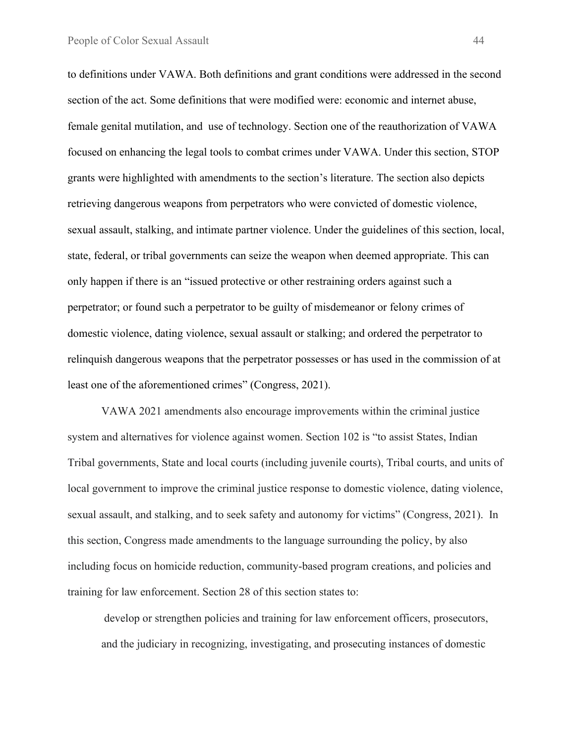to definitions under VAWA. Both definitions and grant conditions were addressed in the second section of the act. Some definitions that were modified were: economic and internet abuse, female genital mutilation, and use of technology. Section one of the reauthorization of VAWA focused on enhancing the legal tools to combat crimes under VAWA. Under this section, STOP grants were highlighted with amendments to the section's literature. The section also depicts retrieving dangerous weapons from perpetrators who were convicted of domestic violence, sexual assault, stalking, and intimate partner violence. Under the guidelines of this section, local, state, federal, or tribal governments can seize the weapon when deemed appropriate. This can only happen if there is an "issued protective or other restraining orders against such a perpetrator; or found such a perpetrator to be guilty of misdemeanor or felony crimes of domestic violence, dating violence, sexual assault or stalking; and ordered the perpetrator to relinquish dangerous weapons that the perpetrator possesses or has used in the commission of at least one of the aforementioned crimes" (Congress, 2021).

VAWA 2021 amendments also encourage improvements within the criminal justice system and alternatives for violence against women. Section 102 is "to assist States, Indian Tribal governments, State and local courts (including juvenile courts), Tribal courts, and units of local government to improve the criminal justice response to domestic violence, dating violence, sexual assault, and stalking, and to seek safety and autonomy for victims" (Congress, 2021). In this section, Congress made amendments to the language surrounding the policy, by also including focus on homicide reduction, community-based program creations, and policies and training for law enforcement. Section 28 of this section states to:

develop or strengthen policies and training for law enforcement officers, prosecutors, and the judiciary in recognizing, investigating, and prosecuting instances of domestic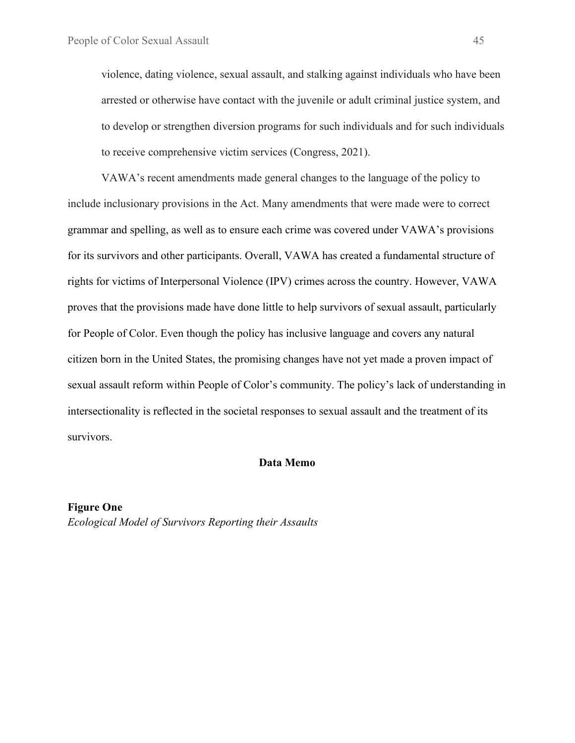violence, dating violence, sexual assault, and stalking against individuals who have been arrested or otherwise have contact with the juvenile or adult criminal justice system, and to develop or strengthen diversion programs for such individuals and for such individuals to receive comprehensive victim services (Congress, 2021).

VAWA's recent amendments made general changes to the language of the policy to include inclusionary provisions in the Act. Many amendments that were made were to correct grammar and spelling, as well as to ensure each crime was covered under VAWA's provisions for its survivors and other participants. Overall, VAWA has created a fundamental structure of rights for victims of Interpersonal Violence (IPV) crimes across the country. However, VAWA proves that the provisions made have done little to help survivors of sexual assault, particularly for People of Color. Even though the policy has inclusive language and covers any natural citizen born in the United States, the promising changes have not yet made a proven impact of sexual assault reform within People of Color's community. The policy's lack of understanding in intersectionality is reflected in the societal responses to sexual assault and the treatment of its survivors.

#### **Data Memo**

**Figure One** *Ecological Model of Survivors Reporting their Assaults*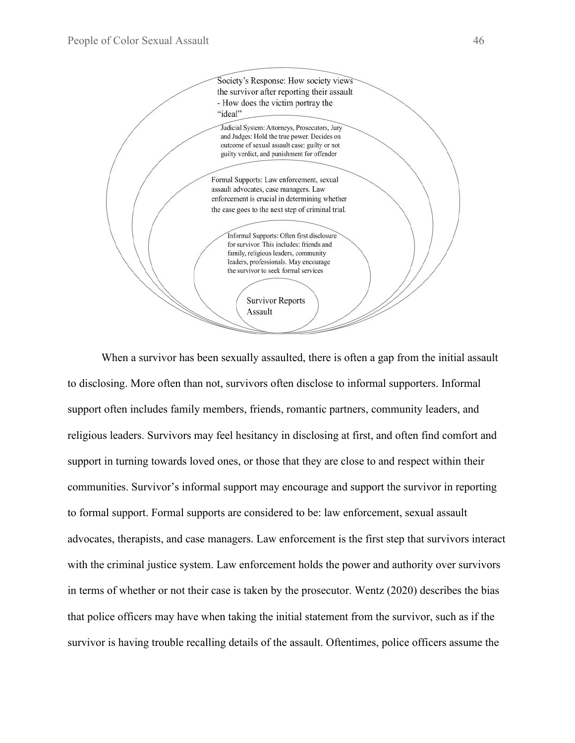

When a survivor has been sexually assaulted, there is often a gap from the initial assault to disclosing. More often than not, survivors often disclose to informal supporters. Informal support often includes family members, friends, romantic partners, community leaders, and religious leaders. Survivors may feel hesitancy in disclosing at first, and often find comfort and support in turning towards loved ones, or those that they are close to and respect within their communities. Survivor's informal support may encourage and support the survivor in reporting to formal support. Formal supports are considered to be: law enforcement, sexual assault advocates, therapists, and case managers. Law enforcement is the first step that survivors interact with the criminal justice system. Law enforcement holds the power and authority over survivors in terms of whether or not their case is taken by the prosecutor. Wentz (2020) describes the bias that police officers may have when taking the initial statement from the survivor, such as if the survivor is having trouble recalling details of the assault. Oftentimes, police officers assume the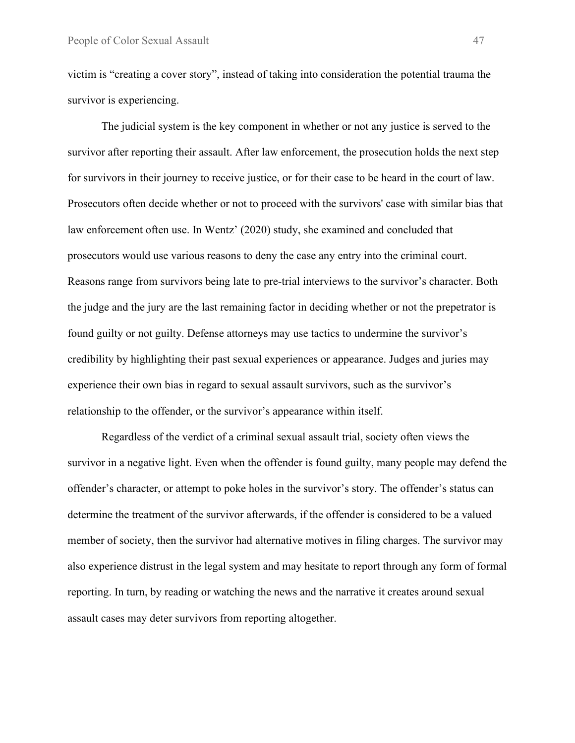victim is "creating a cover story", instead of taking into consideration the potential trauma the survivor is experiencing.

The judicial system is the key component in whether or not any justice is served to the survivor after reporting their assault. After law enforcement, the prosecution holds the next step for survivors in their journey to receive justice, or for their case to be heard in the court of law. Prosecutors often decide whether or not to proceed with the survivors' case with similar bias that law enforcement often use. In Wentz' (2020) study, she examined and concluded that prosecutors would use various reasons to deny the case any entry into the criminal court. Reasons range from survivors being late to pre-trial interviews to the survivor's character. Both the judge and the jury are the last remaining factor in deciding whether or not the prepetrator is found guilty or not guilty. Defense attorneys may use tactics to undermine the survivor's credibility by highlighting their past sexual experiences or appearance. Judges and juries may experience their own bias in regard to sexual assault survivors, such as the survivor's relationship to the offender, or the survivor's appearance within itself.

Regardless of the verdict of a criminal sexual assault trial, society often views the survivor in a negative light. Even when the offender is found guilty, many people may defend the offender's character, or attempt to poke holes in the survivor's story. The offender's status can determine the treatment of the survivor afterwards, if the offender is considered to be a valued member of society, then the survivor had alternative motives in filing charges. The survivor may also experience distrust in the legal system and may hesitate to report through any form of formal reporting. In turn, by reading or watching the news and the narrative it creates around sexual assault cases may deter survivors from reporting altogether.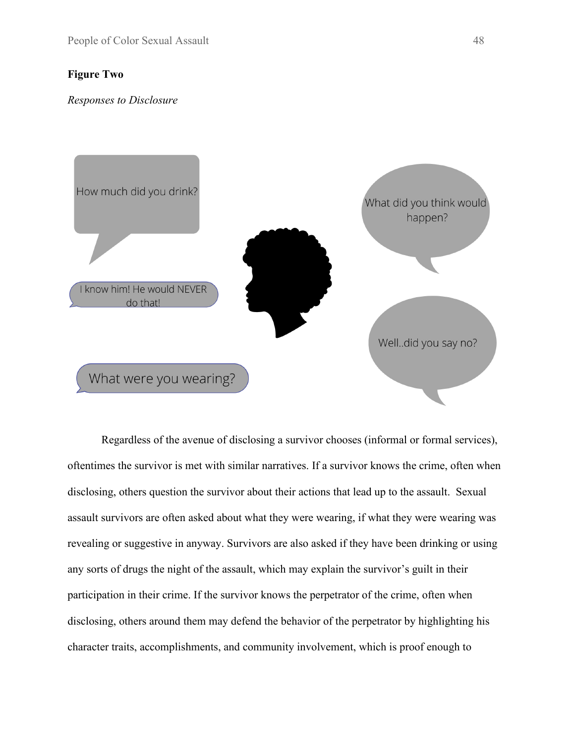## **Figure Two**

#### *Responses to Disclosure*



Regardless of the avenue of disclosing a survivor chooses (informal or formal services), oftentimes the survivor is met with similar narratives. If a survivor knows the crime, often when disclosing, others question the survivor about their actions that lead up to the assault. Sexual assault survivors are often asked about what they were wearing, if what they were wearing was revealing or suggestive in anyway. Survivors are also asked if they have been drinking or using any sorts of drugs the night of the assault, which may explain the survivor's guilt in their participation in their crime. If the survivor knows the perpetrator of the crime, often when disclosing, others around them may defend the behavior of the perpetrator by highlighting his character traits, accomplishments, and community involvement, which is proof enough to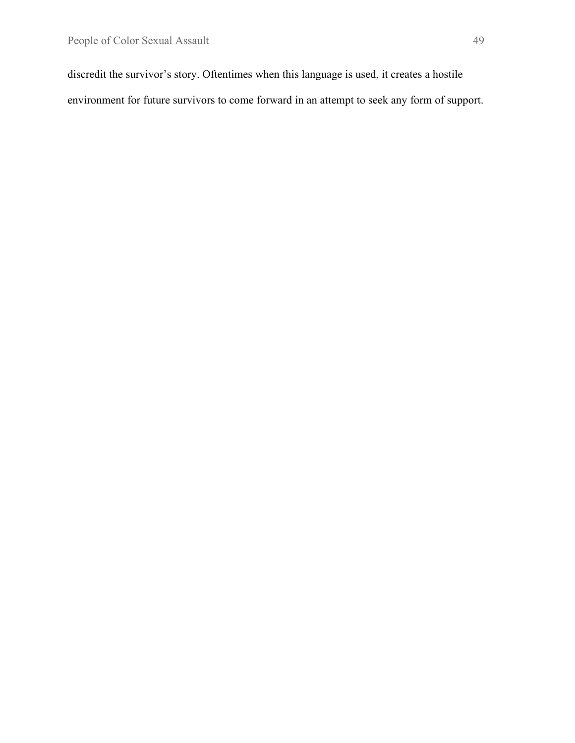discredit the survivor's story. Oftentimes when this language is used, it creates a hostile environment for future survivors to come forward in an attempt to seek any form of support.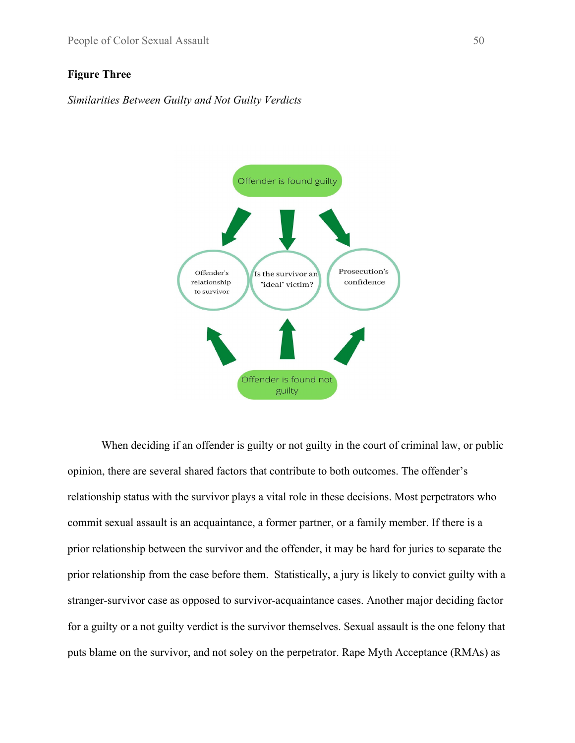## **Figure Three**

*Similarities Between Guilty and Not Guilty Verdicts*



When deciding if an offender is guilty or not guilty in the court of criminal law, or public opinion, there are several shared factors that contribute to both outcomes. The offender's relationship status with the survivor plays a vital role in these decisions. Most perpetrators who commit sexual assault is an acquaintance, a former partner, or a family member. If there is a prior relationship between the survivor and the offender, it may be hard for juries to separate the prior relationship from the case before them. Statistically, a jury is likely to convict guilty with a stranger-survivor case as opposed to survivor-acquaintance cases. Another major deciding factor for a guilty or a not guilty verdict is the survivor themselves. Sexual assault is the one felony that puts blame on the survivor, and not soley on the perpetrator. Rape Myth Acceptance (RMAs) as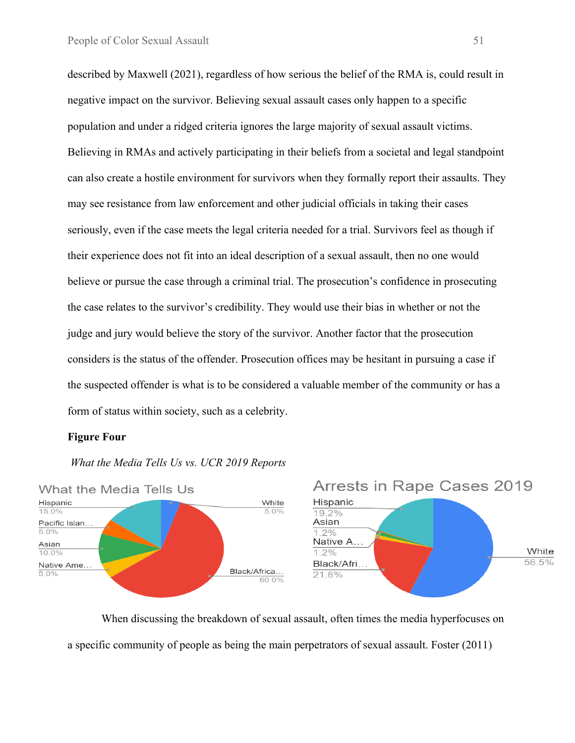described by Maxwell (2021), regardless of how serious the belief of the RMA is, could result in negative impact on the survivor. Believing sexual assault cases only happen to a specific population and under a ridged criteria ignores the large majority of sexual assault victims. Believing in RMAs and actively participating in their beliefs from a societal and legal standpoint can also create a hostile environment for survivors when they formally report their assaults. They may see resistance from law enforcement and other judicial officials in taking their cases seriously, even if the case meets the legal criteria needed for a trial. Survivors feel as though if their experience does not fit into an ideal description of a sexual assault, then no one would believe or pursue the case through a criminal trial. The prosecution's confidence in prosecuting the case relates to the survivor's credibility. They would use their bias in whether or not the judge and jury would believe the story of the survivor. Another factor that the prosecution considers is the status of the offender. Prosecution offices may be hesitant in pursuing a case if the suspected offender is what is to be considered a valuable member of the community or has a form of status within society, such as a celebrity.

#### **Figure Four**

## *What the Media Tells Us vs. UCR 2019 Reports*



When discussing the breakdown of sexual assault, often times the media hyperfocuses on a specific community of people as being the main perpetrators of sexual assault. Foster (2011)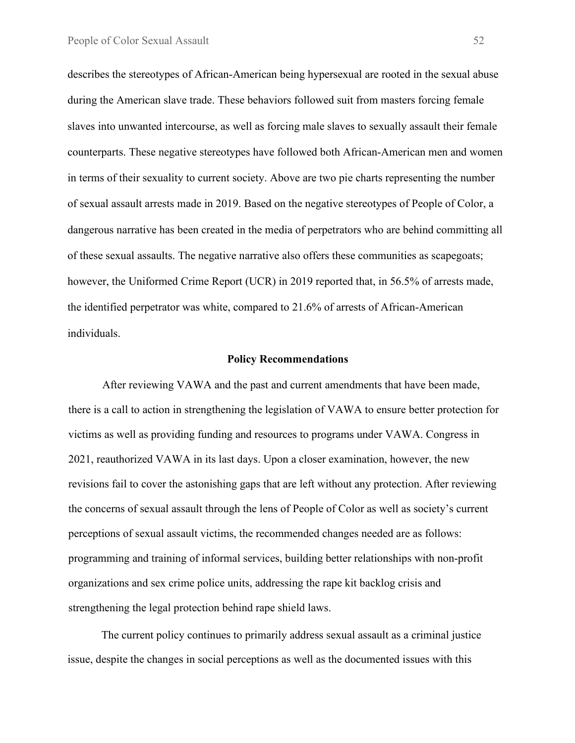describes the stereotypes of African-American being hypersexual are rooted in the sexual abuse during the American slave trade. These behaviors followed suit from masters forcing female slaves into unwanted intercourse, as well as forcing male slaves to sexually assault their female counterparts. These negative stereotypes have followed both African-American men and women in terms of their sexuality to current society. Above are two pie charts representing the number of sexual assault arrests made in 2019. Based on the negative stereotypes of People of Color, a dangerous narrative has been created in the media of perpetrators who are behind committing all of these sexual assaults. The negative narrative also offers these communities as scapegoats; however, the Uniformed Crime Report (UCR) in 2019 reported that, in 56.5% of arrests made, the identified perpetrator was white, compared to 21.6% of arrests of African-American individuals.

#### **Policy Recommendations**

After reviewing VAWA and the past and current amendments that have been made, there is a call to action in strengthening the legislation of VAWA to ensure better protection for victims as well as providing funding and resources to programs under VAWA. Congress in 2021, reauthorized VAWA in its last days. Upon a closer examination, however, the new revisions fail to cover the astonishing gaps that are left without any protection. After reviewing the concerns of sexual assault through the lens of People of Color as well as society's current perceptions of sexual assault victims, the recommended changes needed are as follows: programming and training of informal services, building better relationships with non-profit organizations and sex crime police units, addressing the rape kit backlog crisis and strengthening the legal protection behind rape shield laws.

The current policy continues to primarily address sexual assault as a criminal justice issue, despite the changes in social perceptions as well as the documented issues with this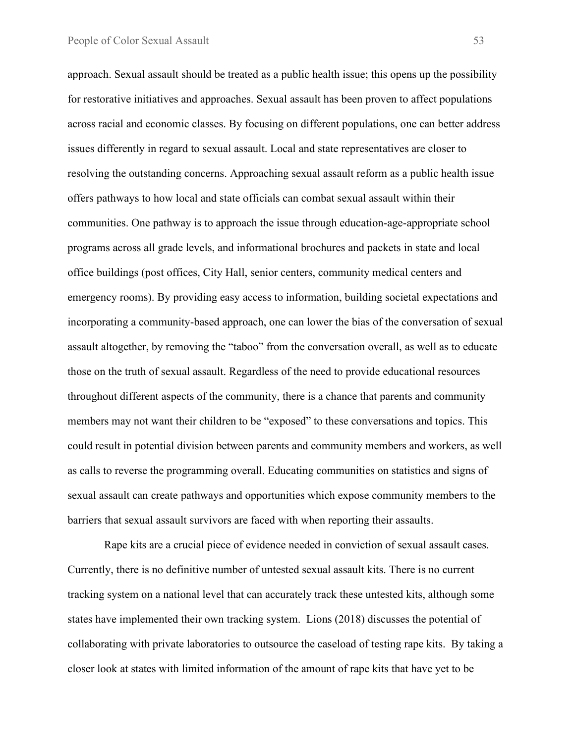approach. Sexual assault should be treated as a public health issue; this opens up the possibility for restorative initiatives and approaches. Sexual assault has been proven to affect populations across racial and economic classes. By focusing on different populations, one can better address issues differently in regard to sexual assault. Local and state representatives are closer to resolving the outstanding concerns. Approaching sexual assault reform as a public health issue offers pathways to how local and state officials can combat sexual assault within their communities. One pathway is to approach the issue through education-age-appropriate school programs across all grade levels, and informational brochures and packets in state and local office buildings (post offices, City Hall, senior centers, community medical centers and emergency rooms). By providing easy access to information, building societal expectations and incorporating a community-based approach, one can lower the bias of the conversation of sexual assault altogether, by removing the "taboo" from the conversation overall, as well as to educate those on the truth of sexual assault. Regardless of the need to provide educational resources throughout different aspects of the community, there is a chance that parents and community members may not want their children to be "exposed" to these conversations and topics. This could result in potential division between parents and community members and workers, as well as calls to reverse the programming overall. Educating communities on statistics and signs of sexual assault can create pathways and opportunities which expose community members to the barriers that sexual assault survivors are faced with when reporting their assaults.

Rape kits are a crucial piece of evidence needed in conviction of sexual assault cases. Currently, there is no definitive number of untested sexual assault kits. There is no current tracking system on a national level that can accurately track these untested kits, although some states have implemented their own tracking system. Lions (2018) discusses the potential of collaborating with private laboratories to outsource the caseload of testing rape kits. By taking a closer look at states with limited information of the amount of rape kits that have yet to be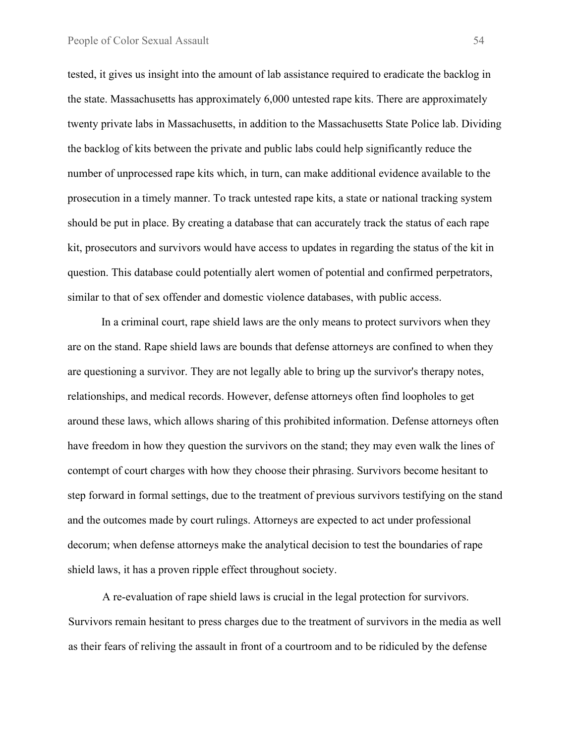tested, it gives us insight into the amount of lab assistance required to eradicate the backlog in the state. Massachusetts has approximately 6,000 untested rape kits. There are approximately twenty private labs in Massachusetts, in addition to the Massachusetts State Police lab. Dividing the backlog of kits between the private and public labs could help significantly reduce the number of unprocessed rape kits which, in turn, can make additional evidence available to the prosecution in a timely manner. To track untested rape kits, a state or national tracking system should be put in place. By creating a database that can accurately track the status of each rape kit, prosecutors and survivors would have access to updates in regarding the status of the kit in question. This database could potentially alert women of potential and confirmed perpetrators, similar to that of sex offender and domestic violence databases, with public access.

In a criminal court, rape shield laws are the only means to protect survivors when they are on the stand. Rape shield laws are bounds that defense attorneys are confined to when they are questioning a survivor. They are not legally able to bring up the survivor's therapy notes, relationships, and medical records. However, defense attorneys often find loopholes to get around these laws, which allows sharing of this prohibited information. Defense attorneys often have freedom in how they question the survivors on the stand; they may even walk the lines of contempt of court charges with how they choose their phrasing. Survivors become hesitant to step forward in formal settings, due to the treatment of previous survivors testifying on the stand and the outcomes made by court rulings. Attorneys are expected to act under professional decorum; when defense attorneys make the analytical decision to test the boundaries of rape shield laws, it has a proven ripple effect throughout society.

A re-evaluation of rape shield laws is crucial in the legal protection for survivors. Survivors remain hesitant to press charges due to the treatment of survivors in the media as well as their fears of reliving the assault in front of a courtroom and to be ridiculed by the defense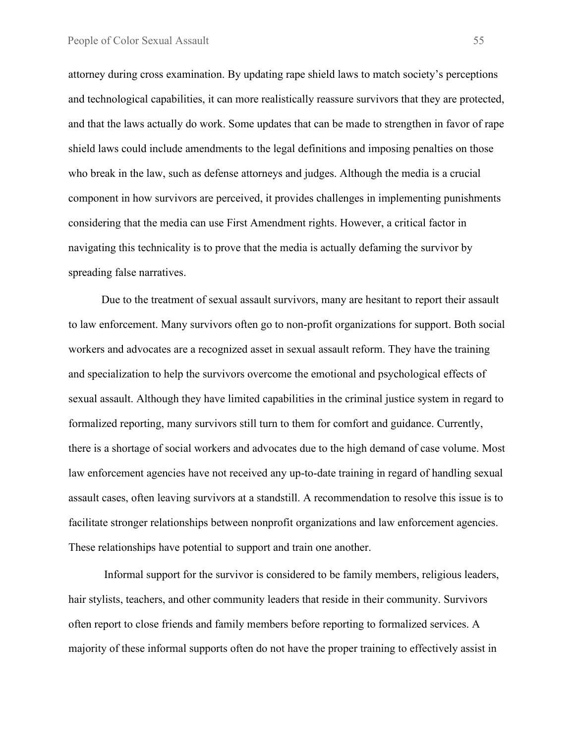attorney during cross examination. By updating rape shield laws to match society's perceptions and technological capabilities, it can more realistically reassure survivors that they are protected, and that the laws actually do work. Some updates that can be made to strengthen in favor of rape shield laws could include amendments to the legal definitions and imposing penalties on those who break in the law, such as defense attorneys and judges. Although the media is a crucial component in how survivors are perceived, it provides challenges in implementing punishments considering that the media can use First Amendment rights. However, a critical factor in navigating this technicality is to prove that the media is actually defaming the survivor by spreading false narratives.

Due to the treatment of sexual assault survivors, many are hesitant to report their assault to law enforcement. Many survivors often go to non-profit organizations for support. Both social workers and advocates are a recognized asset in sexual assault reform. They have the training and specialization to help the survivors overcome the emotional and psychological effects of sexual assault. Although they have limited capabilities in the criminal justice system in regard to formalized reporting, many survivors still turn to them for comfort and guidance. Currently, there is a shortage of social workers and advocates due to the high demand of case volume. Most law enforcement agencies have not received any up-to-date training in regard of handling sexual assault cases, often leaving survivors at a standstill. A recommendation to resolve this issue is to facilitate stronger relationships between nonprofit organizations and law enforcement agencies. These relationships have potential to support and train one another.

Informal support for the survivor is considered to be family members, religious leaders, hair stylists, teachers, and other community leaders that reside in their community. Survivors often report to close friends and family members before reporting to formalized services. A majority of these informal supports often do not have the proper training to effectively assist in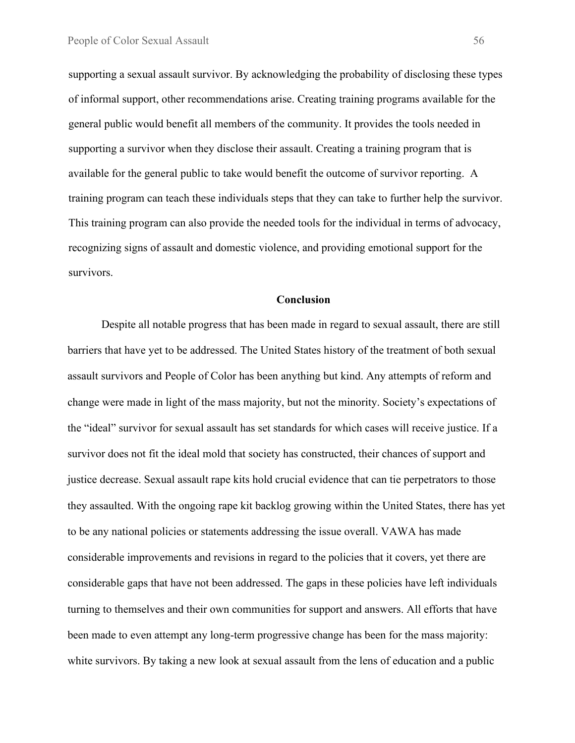supporting a sexual assault survivor. By acknowledging the probability of disclosing these types of informal support, other recommendations arise. Creating training programs available for the general public would benefit all members of the community. It provides the tools needed in supporting a survivor when they disclose their assault. Creating a training program that is available for the general public to take would benefit the outcome of survivor reporting. A training program can teach these individuals steps that they can take to further help the survivor. This training program can also provide the needed tools for the individual in terms of advocacy, recognizing signs of assault and domestic violence, and providing emotional support for the survivors.

#### **Conclusion**

Despite all notable progress that has been made in regard to sexual assault, there are still barriers that have yet to be addressed. The United States history of the treatment of both sexual assault survivors and People of Color has been anything but kind. Any attempts of reform and change were made in light of the mass majority, but not the minority. Society's expectations of the "ideal" survivor for sexual assault has set standards for which cases will receive justice. If a survivor does not fit the ideal mold that society has constructed, their chances of support and justice decrease. Sexual assault rape kits hold crucial evidence that can tie perpetrators to those they assaulted. With the ongoing rape kit backlog growing within the United States, there has yet to be any national policies or statements addressing the issue overall. VAWA has made considerable improvements and revisions in regard to the policies that it covers, yet there are considerable gaps that have not been addressed. The gaps in these policies have left individuals turning to themselves and their own communities for support and answers. All efforts that have been made to even attempt any long-term progressive change has been for the mass majority: white survivors. By taking a new look at sexual assault from the lens of education and a public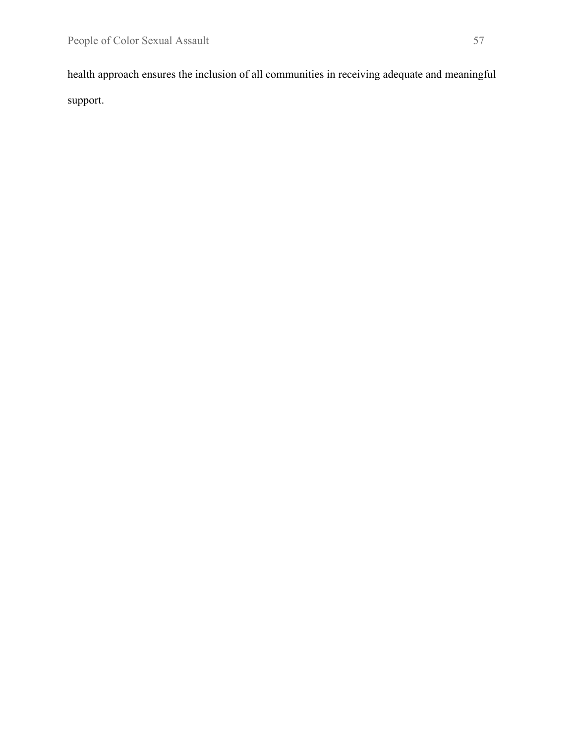health approach ensures the inclusion of all communities in receiving adequate and meaningful support.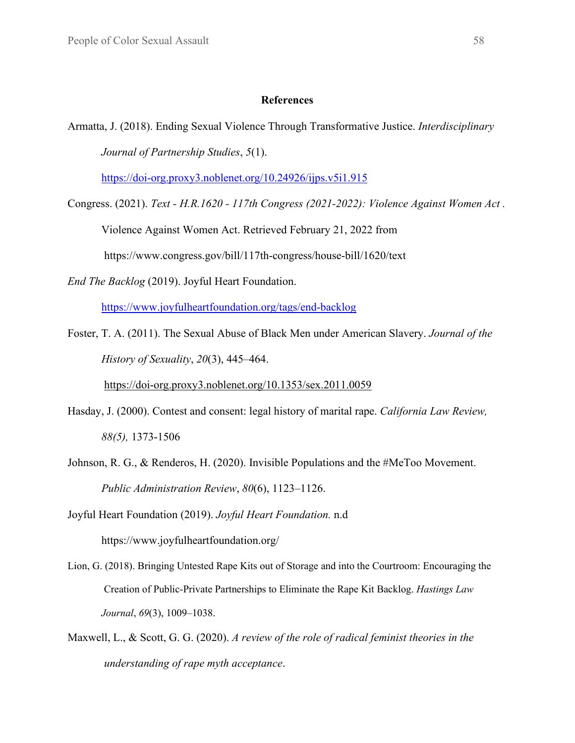#### **References**

Armatta, J. (2018). Ending Sexual Violence Through Transformative Justice. *Interdisciplinary Journal of Partnership Studies*, *5*(1).

<https://doi-org.proxy3.noblenet.org/10.24926/ijps.v5i1.915>

Congress. (2021). *Text - H.R.1620 - 117th Congress (2021-2022): Violence Against Women Act .*

Violence Against Women Act. Retrieved February 21, 2022 from

https://www.congress.gov/bill/117th-congress/house-bill/1620/text

*End The Backlog* (2019). Joyful Heart Foundation.

<https://www.joyfulheartfoundation.org/tags/end-backlog>

Foster, T. A. (2011). The Sexual Abuse of Black Men under American Slavery. *Journal of the History of Sexuality*, *20*(3), 445–464.

<https://doi-org.proxy3.noblenet.org/10.1353/sex.2011.0059>

- Hasday, J. (2000). Contest and consent: legal history of marital rape. *California Law Review, 88(5),* 1373-1506
- Johnson, R. G., & Renderos, H. (2020). Invisible Populations and the #MeToo Movement. *Public Administration Review*, *80*(6), 1123–1126.

Joyful Heart Foundation (2019). *Joyful Heart Foundation.* n.d https://www.joyfulheartfoundation.org/

- Lion, G. (2018). Bringing Untested Rape Kits out of Storage and into the Courtroom: Encouraging the Creation of Public-Private Partnerships to Eliminate the Rape Kit Backlog. *Hastings Law Journal*, *69*(3), 1009–1038.
- Maxwell, L., & Scott, G. G. (2020). *A review of the role of radical feminist theories in the understanding of rape myth acceptance*.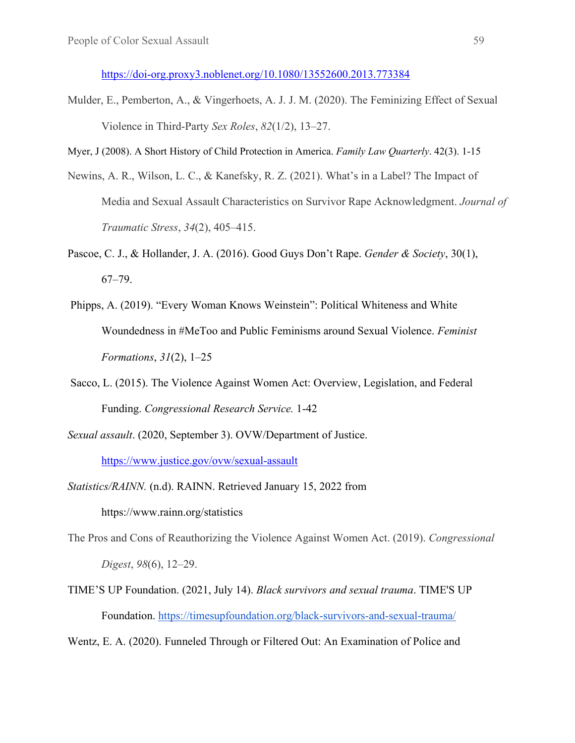<https://doi-org.proxy3.noblenet.org/10.1080/13552600.2013.773384>

Mulder, E., Pemberton, A., & Vingerhoets, A. J. J. M. (2020). The Feminizing Effect of Sexual Violence in Third-Party *Sex Roles*, *82*(1/2), 13–27.

Myer, J (2008). A Short History of Child Protection in America. *Family Law Quarterly*. 42(3). 1-15

- Newins, A. R., Wilson, L. C., & Kanefsky, R. Z. (2021). What's in a Label? The Impact of Media and Sexual Assault Characteristics on Survivor Rape Acknowledgment. *Journal of Traumatic Stress*, *34*(2), 405–415.
- Pascoe, C. J., & Hollander, J. A. (2016). Good Guys Don't Rape. *Gender & Society*, 30(1), 67–79.
- Phipps, A. (2019). "Every Woman Knows Weinstein": Political Whiteness and White Woundedness in #MeToo and Public Feminisms around Sexual Violence. *Feminist Formations*, *31*(2), 1–25
- Sacco, L. (2015). The Violence Against Women Act: Overview, Legislation, and Federal Funding. *Congressional Research Service.* 1-42
- *Sexual assault*. (2020, September 3). OVW/Department of Justice. <https://www.justice.gov/ovw/sexual-assault>
- *Statistics/RAINN.* (n.d). RAINN. Retrieved January 15, 2022 from https://www.rainn.org/statistics
- The Pros and Cons of Reauthorizing the Violence Against Women Act. (2019). *Congressional Digest*, *98*(6), 12–29.
- TIME'S UP Foundation. (2021, July 14). *Black survivors and sexual trauma*. TIME'S UP Foundation.<https://timesupfoundation.org/black-survivors-and-sexual-trauma/>

Wentz, E. A. (2020). Funneled Through or Filtered Out: An Examination of Police and